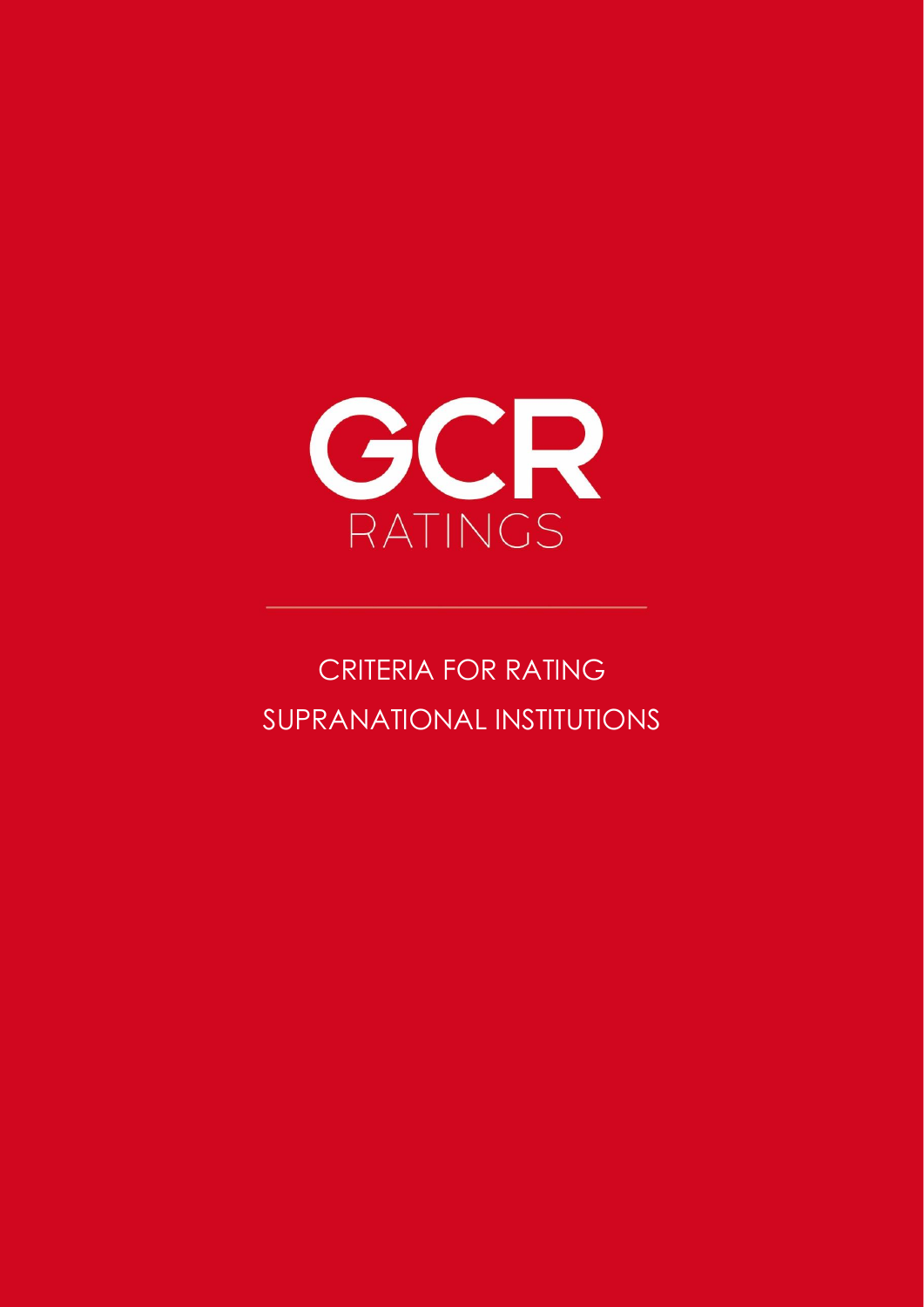

# CRITERIA FOR RATING SUPRANATIONAL INSTITUTIONS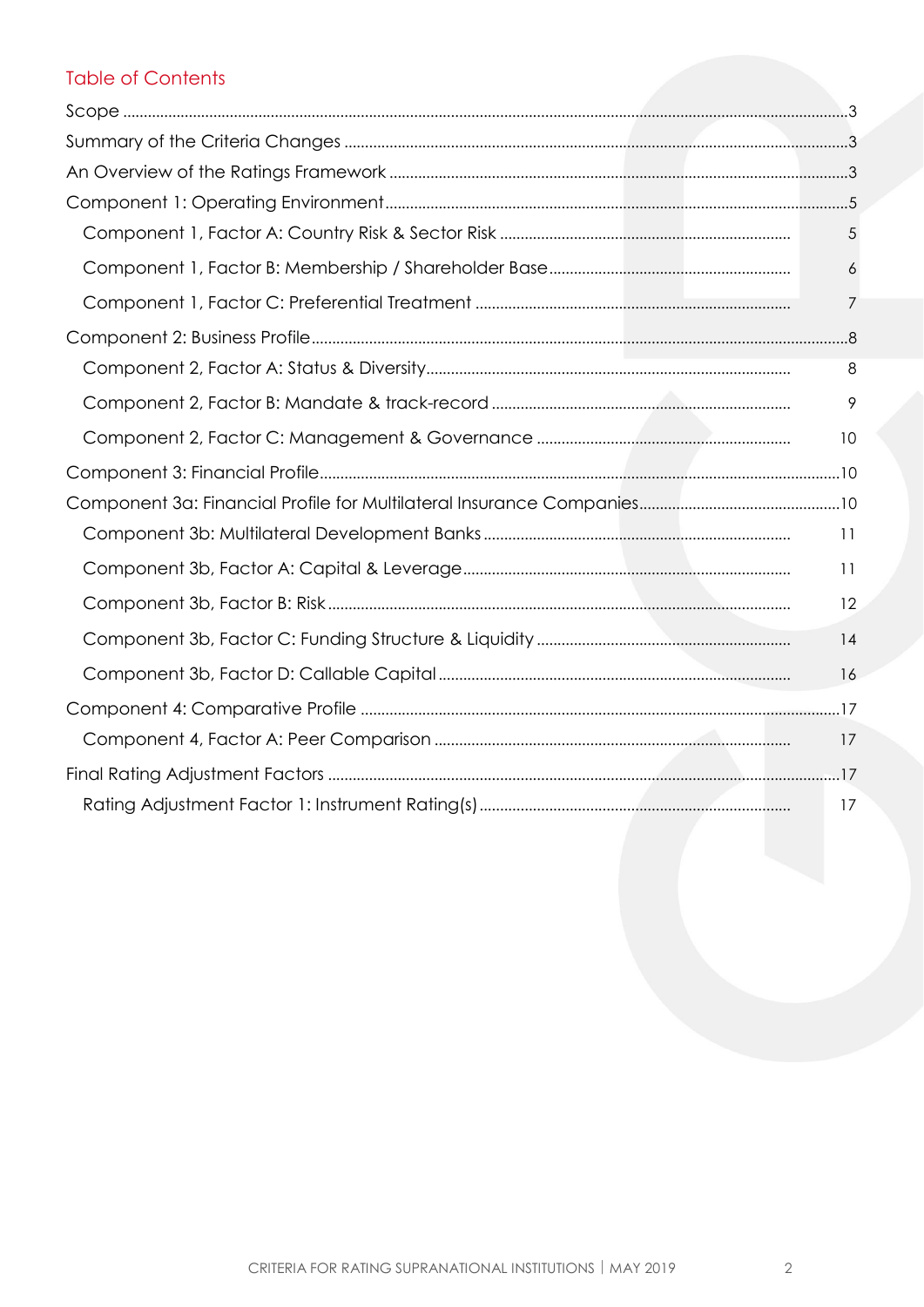## **Table of Contents**

| 5  |
|----|
| 6  |
| 7  |
|    |
| 8  |
| 9  |
| 10 |
|    |
|    |
| 11 |
| 11 |
| 12 |
| 14 |
| 16 |
|    |
| 17 |
|    |
| 17 |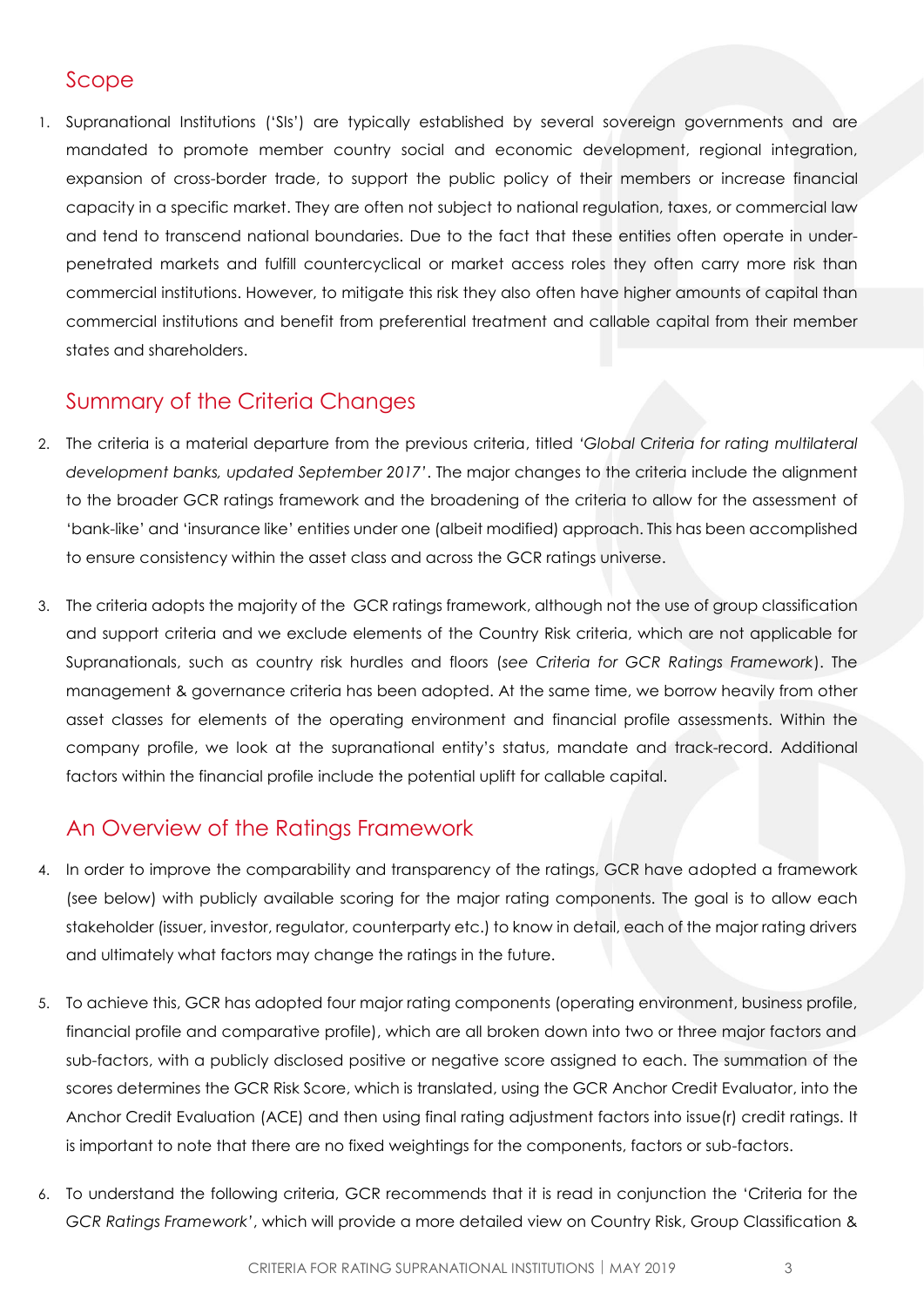## <span id="page-2-0"></span>Scope

1. Supranational Institutions ('SIs') are typically established by several sovereign governments and are mandated to promote member country social and economic development, regional integration, expansion of cross-border trade, to support the public policy of their members or increase financial capacity in a specific market. They are often not subject to national regulation, taxes, or commercial law and tend to transcend national boundaries. Due to the fact that these entities often operate in underpenetrated markets and fulfill countercyclical or market access roles they often carry more risk than commercial institutions. However, to mitigate this risk they also often have higher amounts of capital than commercial institutions and benefit from preferential treatment and callable capital from their member states and shareholders.

## <span id="page-2-1"></span>Summary of the Criteria Changes

- 2. The criteria is a material departure from the previous criteria, titled *'Global Criteria for rating multilateral development banks, updated September 2017'*. The major changes to the criteria include the alignment to the broader GCR ratings framework and the broadening of the criteria to allow for the assessment of 'bank-like' and 'insurance like' entities under one (albeit modified) approach. This has been accomplished to ensure consistency within the asset class and across the GCR ratings universe.
- 3. The criteria adopts the majority of the GCR ratings framework, although not the use of group classification and support criteria and we exclude elements of the Country Risk criteria, which are not applicable for Supranationals, such as country risk hurdles and floors (*see Criteria for GCR Ratings Framework*). The management & governance criteria has been adopted. At the same time, we borrow heavily from other asset classes for elements of the operating environment and financial profile assessments. Within the company profile, we look at the supranational entity's status, mandate and track-record. Additional factors within the financial profile include the potential uplift for callable capital.

## <span id="page-2-2"></span>An Overview of the Ratings Framework

- 4. In order to improve the comparability and transparency of the ratings, GCR have adopted a framework (see below) with publicly available scoring for the major rating components. The goal is to allow each stakeholder (issuer, investor, regulator, counterparty etc.) to know in detail, each of the major rating drivers and ultimately what factors may change the ratings in the future.
- 5. To achieve this, GCR has adopted four major rating components (operating environment, business profile, financial profile and comparative profile), which are all broken down into two or three major factors and sub-factors, with a publicly disclosed positive or negative score assigned to each. The summation of the scores determines the GCR Risk Score, which is translated, using the GCR Anchor Credit Evaluator, into the Anchor Credit Evaluation (ACE) and then using final rating adjustment factors into issue(r) credit ratings. It is important to note that there are no fixed weightings for the components, factors or sub-factors.
- 6. To understand the following criteria, GCR recommends that it is read in conjunction the 'Criteria for the *GCR Ratings Framework'*, which will provide a more detailed view on Country Risk, Group Classification &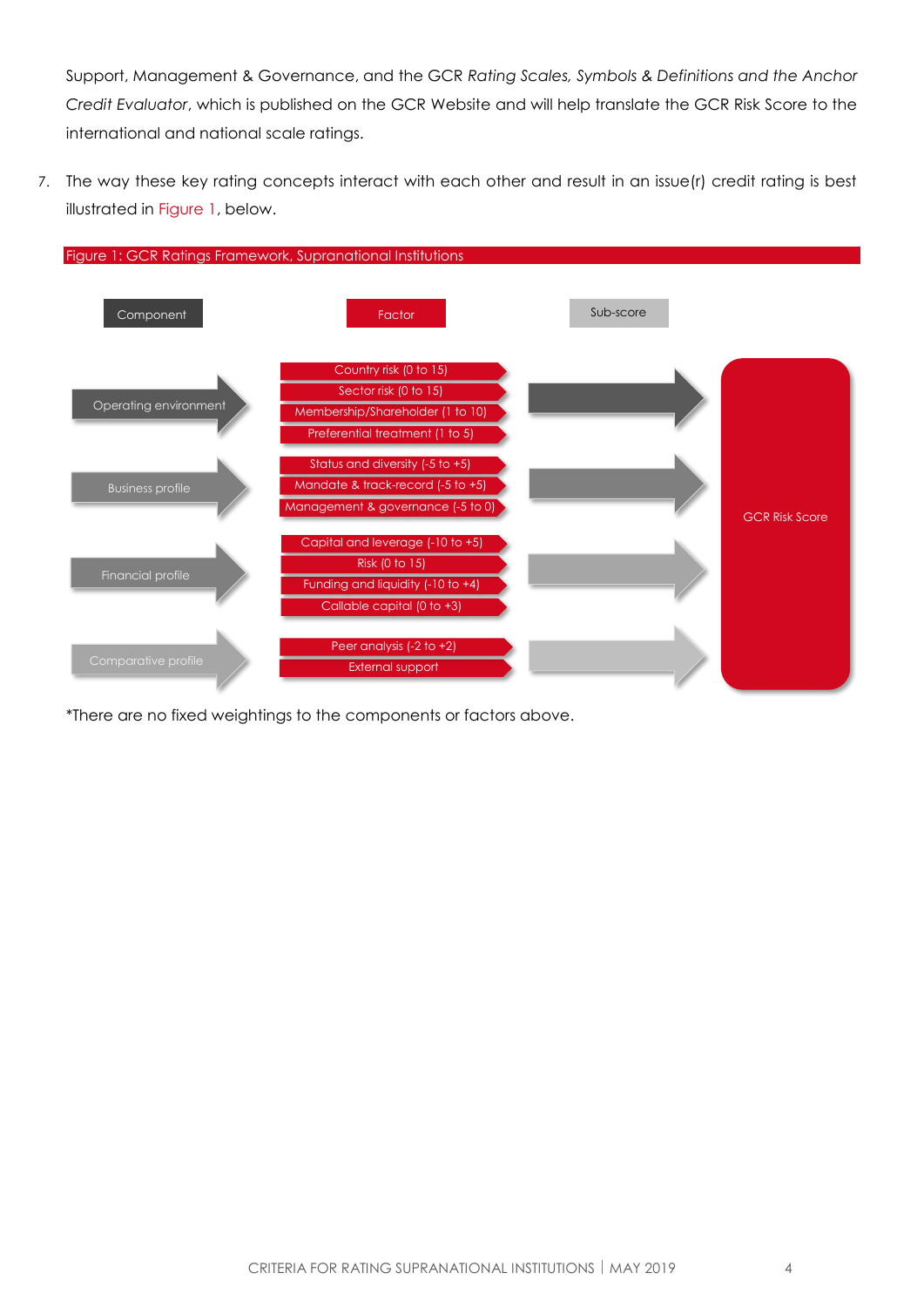Support, Management & Governance, and the GCR *Rating Scales, Symbols & Definitions and the Anchor Credit Evaluator*, which is published on the GCR Website and will help translate the GCR Risk Score to the international and national scale ratings.

7. The way these key rating concepts interact with each other and result in an issue(r) credit rating is best illustrated in [Figure 1,](#page-3-0) below.

<span id="page-3-0"></span>

\*There are no fixed weightings to the components or factors above.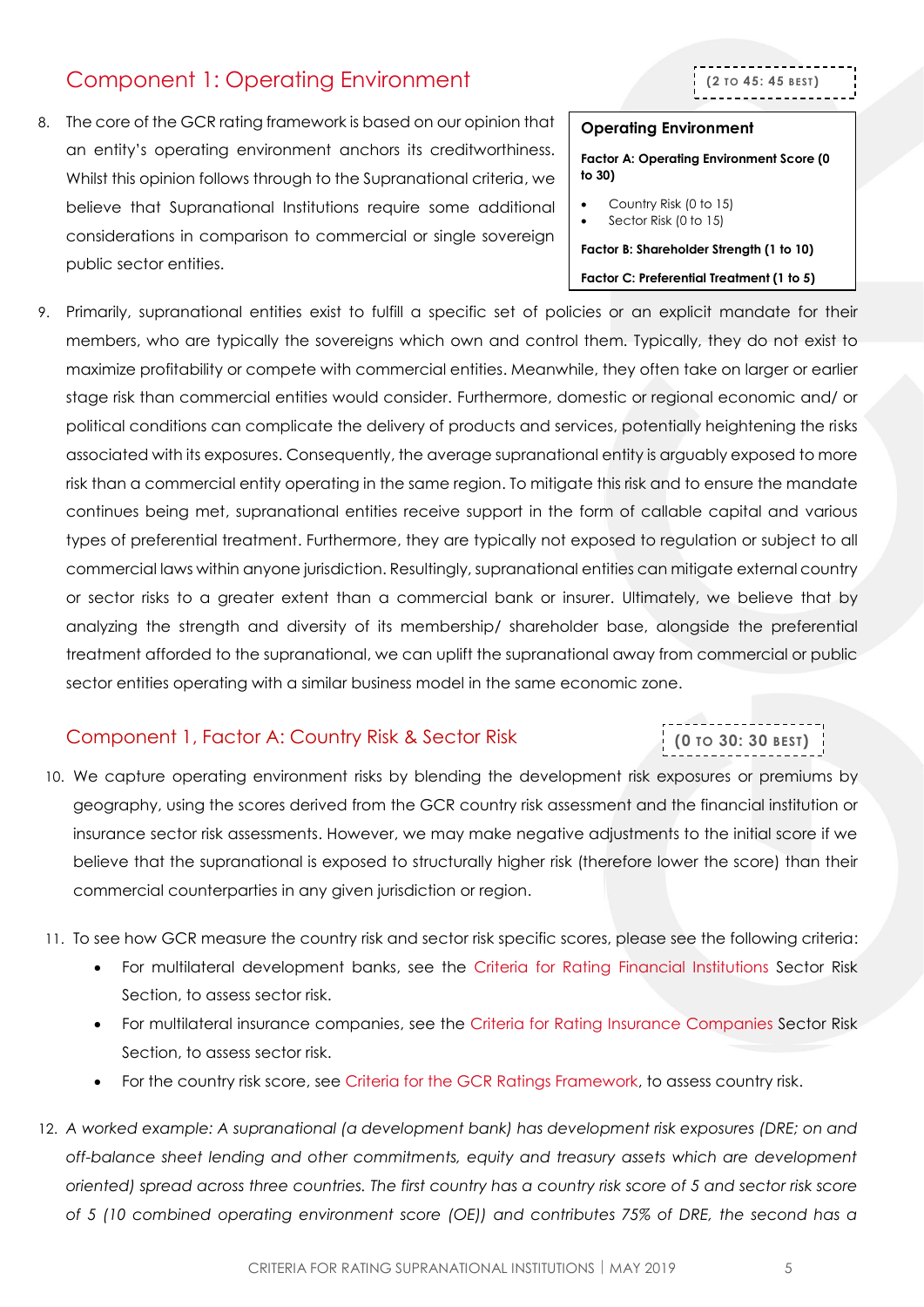## <span id="page-4-0"></span>Component 1: Operating Environment

8. The core of the GCR rating framework is based on our opinion that an entity's operating environment anchors its creditworthiness. Whilst this opinion follows through to the Supranational criteria, we believe that Supranational Institutions require some additional considerations in comparison to commercial or single sovereign public sector entities.



#### **Operating Environment**

**Factor A: Operating Environment Score (0 to 30)**

- Country Risk (0 to 15)
- Sector Risk (0 to 15)

**Factor B: Shareholder Strength (1 to 10) Factor C: Preferential Treatment (1 to 5)**

9. Primarily, supranational entities exist to fulfill a specific set of policies or an explicit mandate for their members, who are typically the sovereigns which own and control them. Typically, they do not exist to maximize profitability or compete with commercial entities. Meanwhile, they often take on larger or earlier stage risk than commercial entities would consider. Furthermore, domestic or regional economic and/ or political conditions can complicate the delivery of products and services, potentially heightening the risks associated with its exposures. Consequently, the average supranational entity is arguably exposed to more risk than a commercial entity operating in the same region. To mitigate this risk and to ensure the mandate continues being met, supranational entities receive support in the form of callable capital and various types of preferential treatment. Furthermore, they are typically not exposed to regulation or subject to all commercial laws within anyone jurisdiction. Resultingly, supranational entities can mitigate external country or sector risks to a greater extent than a commercial bank or insurer. Ultimately, we believe that by analyzing the strength and diversity of its membership/ shareholder base, alongside the preferential treatment afforded to the supranational, we can uplift the supranational away from commercial or public sector entities operating with a similar business model in the same economic zone.

#### <span id="page-4-1"></span>Component 1, Factor A: Country Risk & Sector Risk

# **(0 TO 30: 30 BEST)**

10. We capture operating environment risks by blending the development risk exposures or premiums by geography, using the scores derived from the GCR country risk assessment and the financial institution or insurance sector risk assessments. However, we may make negative adjustments to the initial score if we believe that the supranational is exposed to structurally higher risk (therefore lower the score) than their commercial counterparties in any given jurisdiction or region.

- 11. To see how GCR measure the country risk and sector risk specific scores, please see the following criteria:
	- For multilateral development banks, see the [Criteria for Rating Financial Institutions](http://gcrratings.com/criteria) Sector Risk Section, to assess sector risk.
	- For multilateral insurance companies, see the Criteria for Rating [Insurance Companies](http://gcrratings.com/criteria) Sector Risk Section, to assess sector risk.
	- For the country risk score, see Criteria [for the GCR Ratings Framework,](http://gcrratings.com/criteria) to assess country risk.
- 12. *A worked example: A supranational (a development bank) has development risk exposures (DRE; on and off-balance sheet lending and other commitments, equity and treasury assets which are development oriented) spread across three countries. The first country has a country risk score of 5 and sector risk score of 5 (10 combined operating environment score (OE)) and contributes 75% of DRE, the second has a*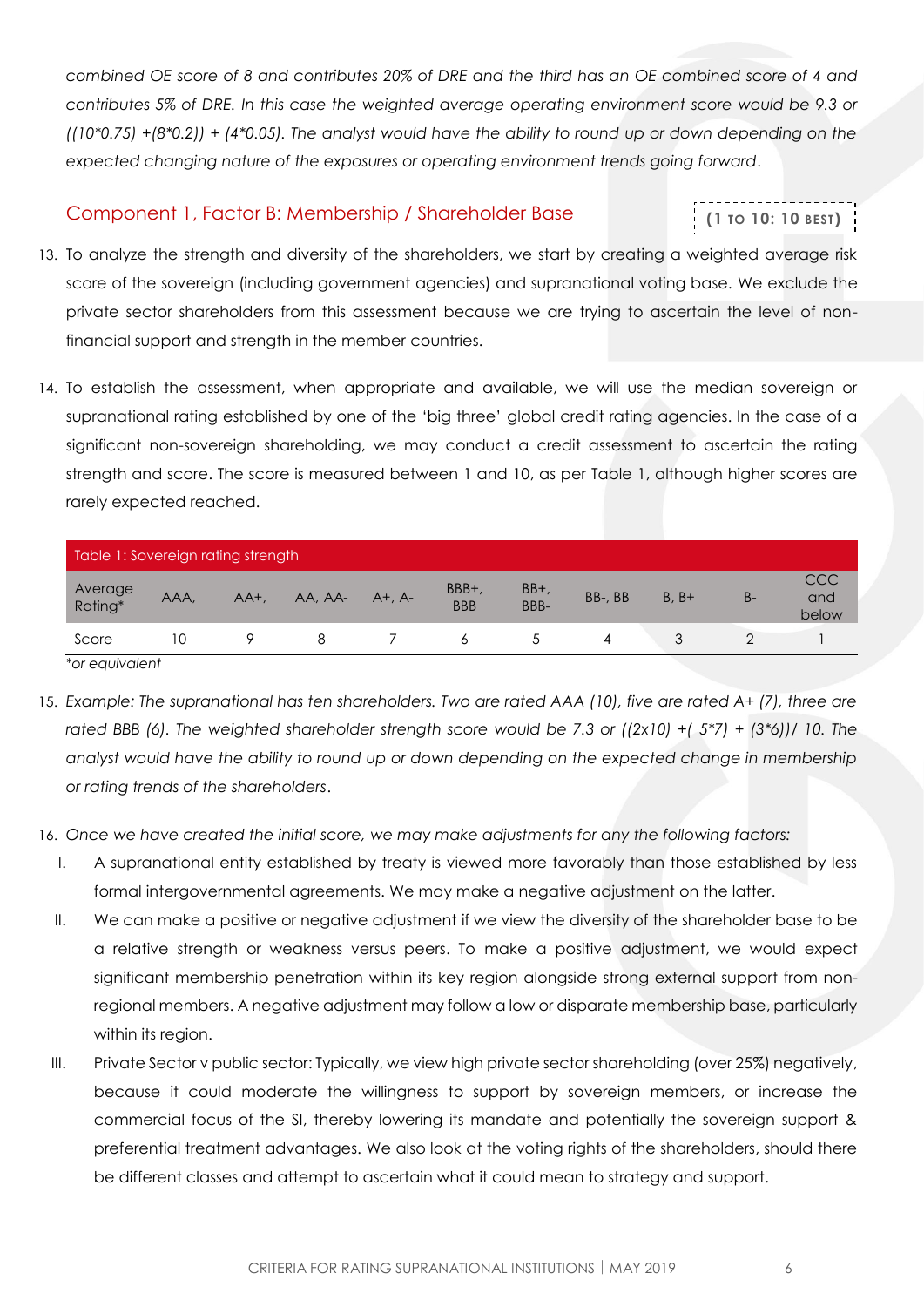*combined OE score of 8 and contributes 20% of DRE and the third has an OE combined score of 4 and contributes 5% of DRE. In this case the weighted average operating environment score would be 9.3 or ((10\*0.75) +(8\*0.2)) + (4\*0.05). The analyst would have the ability to round up or down depending on the expected changing nature of the exposures or operating environment trends going forward*.

#### <span id="page-5-0"></span>Component 1, Factor B: Membership / Shareholder Base

# **(1 TO 10: 10 BEST)**

- 13. To analyze the strength and diversity of the shareholders, we start by creating a weighted average risk score of the sovereign (including government agencies) and supranational voting base. We exclude the private sector shareholders from this assessment because we are trying to ascertain the level of nonfinancial support and strength in the member countries.
- 14. To establish the assessment, when appropriate and available, we will use the median sovereign or supranational rating established by one of the 'big three' global credit rating agencies. In the case of a significant non-sovereign shareholding, we may conduct a credit assessment to ascertain the rating strength and score. The score is measured between 1 and 10, as per [Table 1,](#page-5-1) although higher scores are rarely expected reached.

<span id="page-5-1"></span>

| Table 1: Sovereign rating strength |      |         |         |               |                     |               |         |         |       |                     |
|------------------------------------|------|---------|---------|---------------|---------------------|---------------|---------|---------|-------|---------------------|
| Average<br>Rating*                 | AAA. | $AA+$ , | AA, AA- | $A^+$ , $A^-$ | BBB+,<br><b>BBB</b> | $BB+$<br>BBB- | BB-, BB | $B. B+$ | $B -$ | CCC<br>and<br>below |
| Score                              | 10   |         |         |               |                     |               | 4       |         |       |                     |

*\*or equivalent* 

- 15. *Example: The supranational has ten shareholders. Two are rated AAA (10), five are rated A+ (7), three are rated BBB (6). The weighted shareholder strength score would be 7.3 or ((2x10) +( 5\*7) + (3\*6))/ 10. The analyst would have the ability to round up or down depending on the expected change in membership or rating trends of the shareholders*.
- 16. *Once we have created the initial score, we may make adjustments for any the following factors:* 
	- I. A supranational entity established by treaty is viewed more favorably than those established by less formal intergovernmental agreements. We may make a negative adjustment on the latter.
	- II. We can make a positive or negative adjustment if we view the diversity of the shareholder base to be a relative strength or weakness versus peers. To make a positive adjustment, we would expect significant membership penetration within its key region alongside strong external support from nonregional members. A negative adjustment may follow a low or disparate membership base, particularly within its region.
	- III. Private Sector v public sector: Typically, we view high private sector shareholding (over 25%) negatively, because it could moderate the willingness to support by sovereign members, or increase the commercial focus of the SI, thereby lowering its mandate and potentially the sovereign support & preferential treatment advantages. We also look at the voting rights of the shareholders, should there be different classes and attempt to ascertain what it could mean to strategy and support.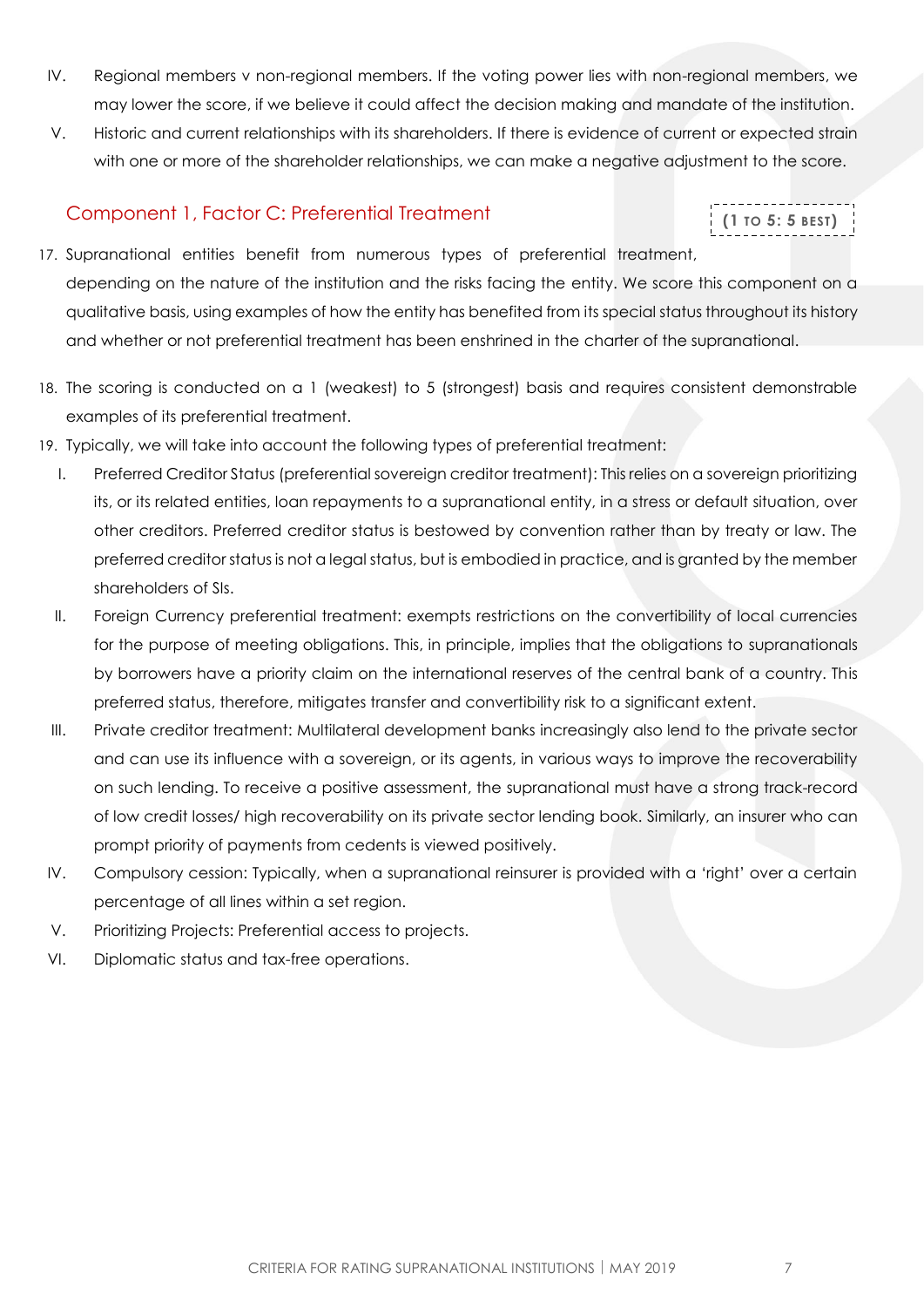- IV. Regional members v non-regional members. If the voting power lies with non-regional members, we may lower the score, if we believe it could affect the decision making and mandate of the institution.
- V. Historic and current relationships with its shareholders. If there is evidence of current or expected strain with one or more of the shareholder relationships, we can make a negative adjustment to the score.

#### <span id="page-6-0"></span>Component 1, Factor C: Preferential Treatment

```
(1 TO 5: 5 BEST)
```
- 17. Supranational entities benefit from numerous types of preferential treatment, depending on the nature of the institution and the risks facing the entity. We score this component on a qualitative basis, using examples of how the entity has benefited from its special status throughout its history and whether or not preferential treatment has been enshrined in the charter of the supranational.
- 18. The scoring is conducted on a 1 (weakest) to 5 (strongest) basis and requires consistent demonstrable examples of its preferential treatment.
- 19. Typically, we will take into account the following types of preferential treatment:
	- I. Preferred Creditor Status (preferential sovereign creditor treatment): This relies on a sovereign prioritizing its, or its related entities, loan repayments to a supranational entity, in a stress or default situation, over other creditors. Preferred creditor status is bestowed by convention rather than by treaty or law. The preferred creditor status is not a legal status, but is embodied in practice, and is granted by the member shareholders of SIs.
	- II. Foreign Currency preferential treatment: exempts restrictions on the convertibility of local currencies for the purpose of meeting obligations. This, in principle, implies that the obligations to supranationals by borrowers have a priority claim on the international reserves of the central bank of a country. This preferred status, therefore, mitigates transfer and convertibility risk to a significant extent.
	- III. Private creditor treatment: Multilateral development banks increasingly also lend to the private sector and can use its influence with a sovereign, or its agents, in various ways to improve the recoverability on such lending. To receive a positive assessment, the supranational must have a strong track-record of low credit losses/ high recoverability on its private sector lending book. Similarly, an insurer who can prompt priority of payments from cedents is viewed positively.
	- IV. Compulsory cession: Typically, when a supranational reinsurer is provided with a 'right' over a certain percentage of all lines within a set region.
	- V. Prioritizing Projects: Preferential access to projects.
	- VI. Diplomatic status and tax-free operations.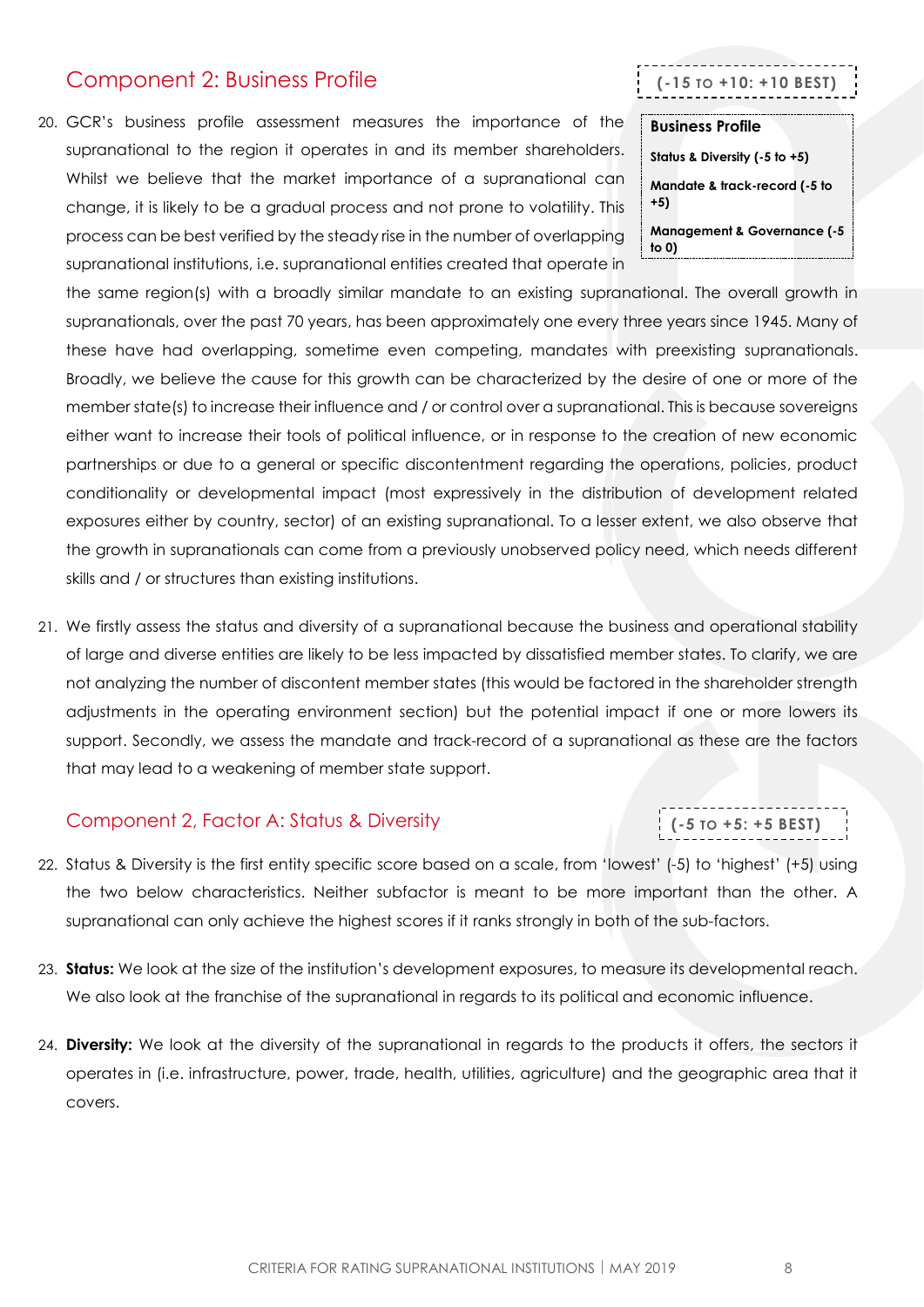## <span id="page-7-0"></span>Component 2: Business Profile

20. GCR's business profile assessment measures the importance of the supranational to the region it operates in and its member shareholders. Whilst we believe that the market importance of a supranational can change, it is likely to be a gradual process and not prone to volatility. This process can be best verified by the steady rise in the number of overlapping supranational institutions, i.e. supranational entities created that operate in

**Business Profile Status & Diversity (-5 to +5) Mandate & track-record (-5 to +5) Management & Governance (-5 to 0)**

**(-15 TO +10: +10 BEST)**

the same region(s) with a broadly similar mandate to an existing supranational. The overall growth in supranationals, over the past 70 years, has been approximately one every three years since 1945. Many of these have had overlapping, sometime even competing, mandates with preexisting supranationals. Broadly, we believe the cause for this growth can be characterized by the desire of one or more of the member state(s) to increase their influence and / or control over a supranational. This is because sovereigns either want to increase their tools of political influence, or in response to the creation of new economic partnerships or due to a general or specific discontentment regarding the operations, policies, product conditionality or developmental impact (most expressively in the distribution of development related exposures either by country, sector) of an existing supranational. To a lesser extent, we also observe that the growth in supranationals can come from a previously unobserved policy need, which needs different skills and / or structures than existing institutions.

21. We firstly assess the status and diversity of a supranational because the business and operational stability of large and diverse entities are likely to be less impacted by dissatisfied member states. To clarify, we are not analyzing the number of discontent member states (this would be factored in the shareholder strength adjustments in the operating environment section) but the potential impact if one or more lowers its support. Secondly, we assess the mandate and track-record of a supranational as these are the factors that may lead to a weakening of member state support.

#### <span id="page-7-1"></span>Component 2, Factor A: Status & Diversity

- 22. Status & Diversity is the first entity specific score based on a scale, from 'lowest' (-5) to 'highest' (+5) using the two below characteristics. Neither subfactor is meant to be more important than the other. A supranational can only achieve the highest scores if it ranks strongly in both of the sub-factors.
- 23. **Status:** We look at the size of the institution's development exposures, to measure its developmental reach. We also look at the franchise of the supranational in regards to its political and economic influence.
- 24. **Diversity:** We look at the diversity of the supranational in regards to the products it offers, the sectors it operates in (i.e. infrastructure, power, trade, health, utilities, agriculture) and the geographic area that it covers.

**(-5 TO +5: +5 BEST)**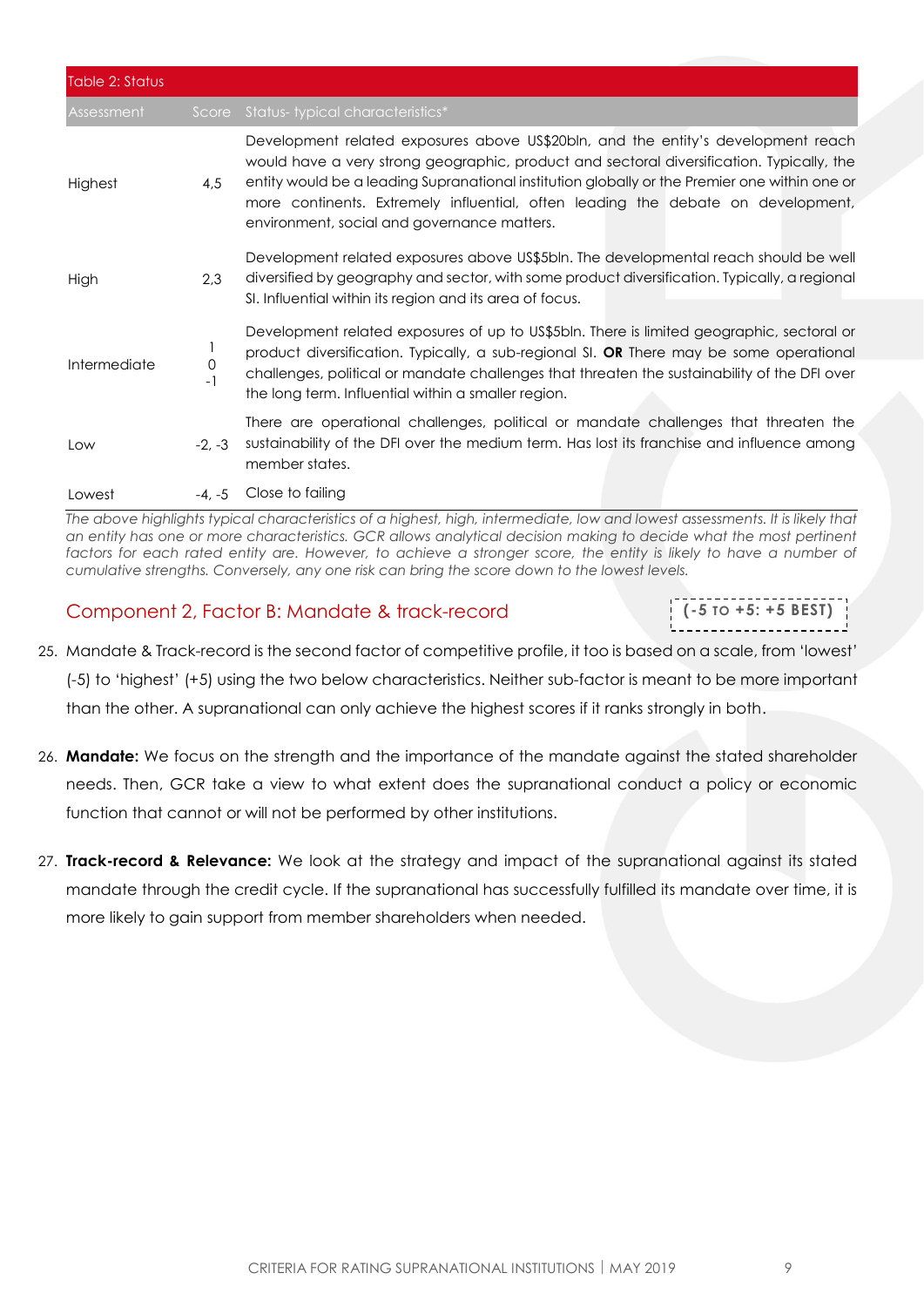| Table 2: Status |           |                                                                                                                                                                                                                                                                                                                                                                                                                    |
|-----------------|-----------|--------------------------------------------------------------------------------------------------------------------------------------------------------------------------------------------------------------------------------------------------------------------------------------------------------------------------------------------------------------------------------------------------------------------|
| Assessment      | Score     | Status-typical characteristics*                                                                                                                                                                                                                                                                                                                                                                                    |
| Highest         | 4,5       | Development related exposures above US\$20bln, and the entity's development reach<br>would have a very strong geographic, product and sectoral diversification. Typically, the<br>entity would be a leading Supranational institution globally or the Premier one within one or<br>more continents. Extremely influential, often leading the debate on development,<br>environment, social and governance matters. |
| High            | 2,3       | Development related exposures above US\$5bln. The developmental reach should be well<br>diversified by geography and sector, with some product diversification. Typically, a regional<br>SI. Influential within its region and its area of focus.                                                                                                                                                                  |
| Intermediate    | 0<br>$-1$ | Development related exposures of up to US\$5bln. There is limited geographic, sectoral or<br>product diversification. Typically, a sub-regional SI. OR There may be some operational<br>challenges, political or mandate challenges that threaten the sustainability of the DFI over<br>the long term. Influential within a smaller region.                                                                        |
| Low             | $-2. -3$  | There are operational challenges, political or mandate challenges that threaten the<br>sustainability of the DFI over the medium term. Has lost its franchise and influence among<br>member states.                                                                                                                                                                                                                |
| Lowest          | $-4. -5$  | Close to failing                                                                                                                                                                                                                                                                                                                                                                                                   |

*The above highlights typical characteristics of a highest, high, intermediate, low and lowest assessments. It is likely that an entity has one or more characteristics. GCR allows analytical decision making to decide what the most pertinent*  factors for each rated entity are. However, to achieve a stronger score, the entity is likely to have a number of *cumulative strengths. Conversely, any one risk can bring the score down to the lowest levels.* 

### <span id="page-8-0"></span>Component 2, Factor B: Mandate & track-record

- 25. Mandate & Track-record is the second factor of competitive profile, it too is based on a scale, from 'lowest' (-5) to 'highest' (+5) using the two below characteristics. Neither sub-factor is meant to be more important than the other. A supranational can only achieve the highest scores if it ranks strongly in both.
- 26. **Mandate:** We focus on the strength and the importance of the mandate against the stated shareholder needs. Then, GCR take a view to what extent does the supranational conduct a policy or economic function that cannot or will not be performed by other institutions.
- 27. **Track-record & Relevance:** We look at the strategy and impact of the supranational against its stated mandate through the credit cycle. If the supranational has successfully fulfilled its mandate over time, it is more likely to gain support from member shareholders when needed.

**(-5 TO +5: +5 BEST)**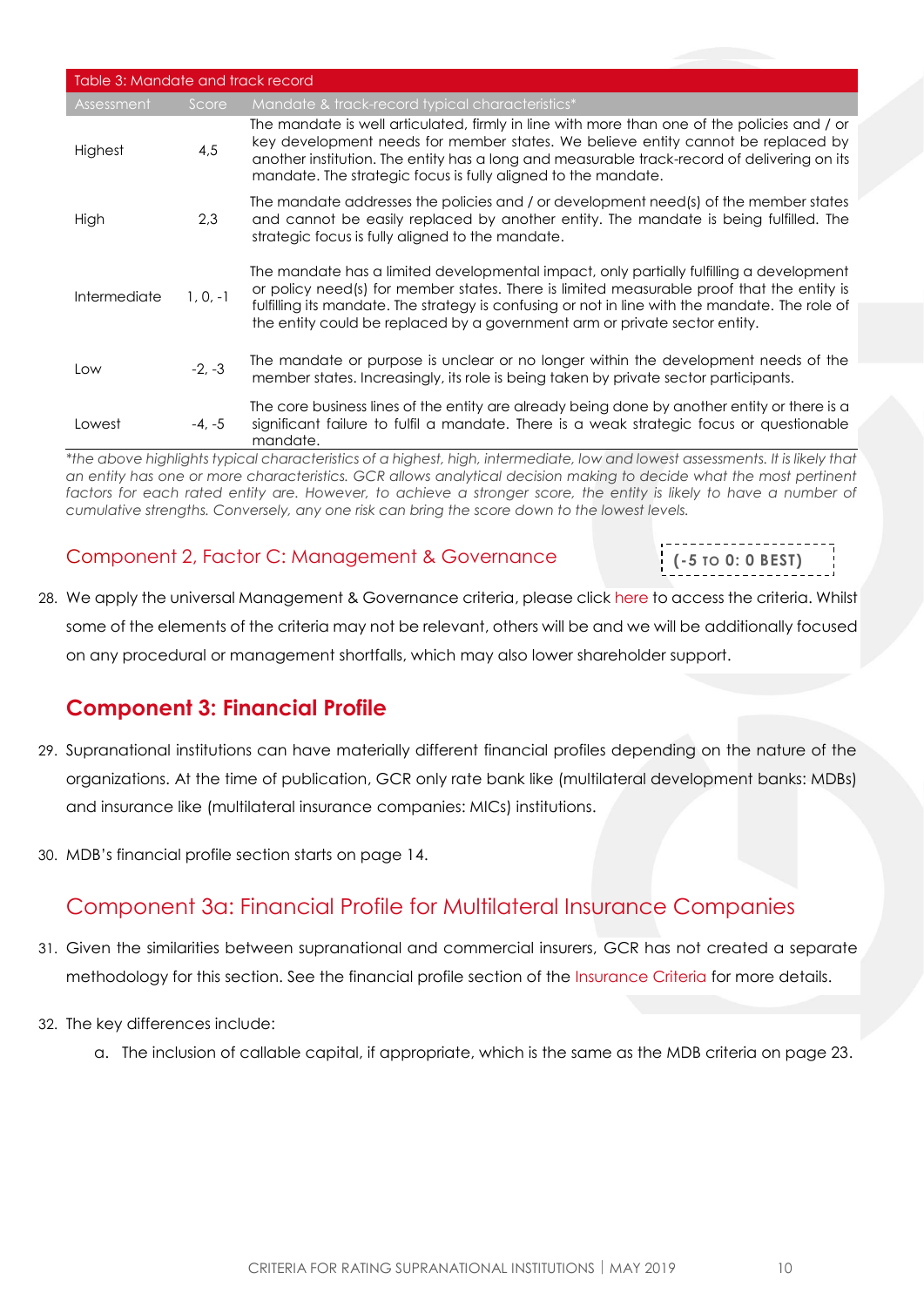| Table 3: Mandate and track record |               |                                                                                                                                                                                                                                                                                                                                                                      |
|-----------------------------------|---------------|----------------------------------------------------------------------------------------------------------------------------------------------------------------------------------------------------------------------------------------------------------------------------------------------------------------------------------------------------------------------|
| Assessment                        | Score         | Mandate & track-record typical characteristics*                                                                                                                                                                                                                                                                                                                      |
| Highest                           | 4,5           | The mandate is well articulated, firmly in line with more than one of the policies and / or<br>key development needs for member states. We believe entity cannot be replaced by<br>another institution. The entity has a long and measurable track-record of delivering on its<br>mandate. The strategic focus is fully aligned to the mandate.                      |
| High                              | 2.3           | The mandate addresses the policies and / or development need(s) of the member states<br>and cannot be easily replaced by another entity. The mandate is being fulfilled. The<br>strategic focus is fully aligned to the mandate.                                                                                                                                     |
| Intermediate                      | $1, 0, -1$    | The mandate has a limited developmental impact, only partially fulfilling a development<br>or policy need(s) for member states. There is limited measurable proof that the entity is<br>fulfilling its mandate. The strategy is confusing or not in line with the mandate. The role of<br>the entity could be replaced by a government arm or private sector entity. |
| Low                               | $-2, -3$      | The mandate or purpose is unclear or no longer within the development needs of the<br>member states. Increasingly, its role is being taken by private sector participants.                                                                                                                                                                                           |
| Lowest                            | $-4, -5$<br>. | The core business lines of the entity are already being done by another entity or there is a<br>significant failure to fulfil a mandate. There is a weak strategic focus or questionable<br>mandate.<br>.<br>$\cdots$                                                                                                                                                |

*\*the above highlights typical characteristics of a highest, high, intermediate, low and lowest assessments. It is likely that an entity has one or more characteristics. GCR allows analytical decision making to decide what the most pertinent*  factors for each rated entity are. However, to achieve a stronger score, the entity is likely to have a number of *cumulative strengths. Conversely, any one risk can bring the score down to the lowest levels.* 

### <span id="page-9-0"></span>Component 2, Factor C: Management & Governance

**(-5 TO 0: 0 BEST)**

28. We apply the universal Management & Governance criteria, please click [here](https://globalratings.net/news/article/gcr-requests-public-comment-on-draft-ratings-framework-criteria-and-draft-r) to access the criteria. Whilst some of the elements of the criteria may not be relevant, others will be and we will be additionally focused on any procedural or management shortfalls, which may also lower shareholder support.

## <span id="page-9-1"></span>**Component 3: Financial Profile**

- 29. Supranational institutions can have materially different financial profiles depending on the nature of the organizations. At the time of publication, GCR only rate bank like (multilateral development banks: MDBs) and insurance like (multilateral insurance companies: MICs) institutions.
- 30. MDB's financial profile section starts on page 14.

## <span id="page-9-2"></span>Component 3a: Financial Profile for Multilateral Insurance Companies

- 31. Given the similarities between supranational and commercial insurers, GCR has not created a separate methodology for this section. See the financial profile section of the [Insurance Criteria](http://gcrratings.com/criteria) for more details.
- 32. The key differences include:
	- a. The inclusion of callable capital, if appropriate, which is the same as the MDB criteria on page 23.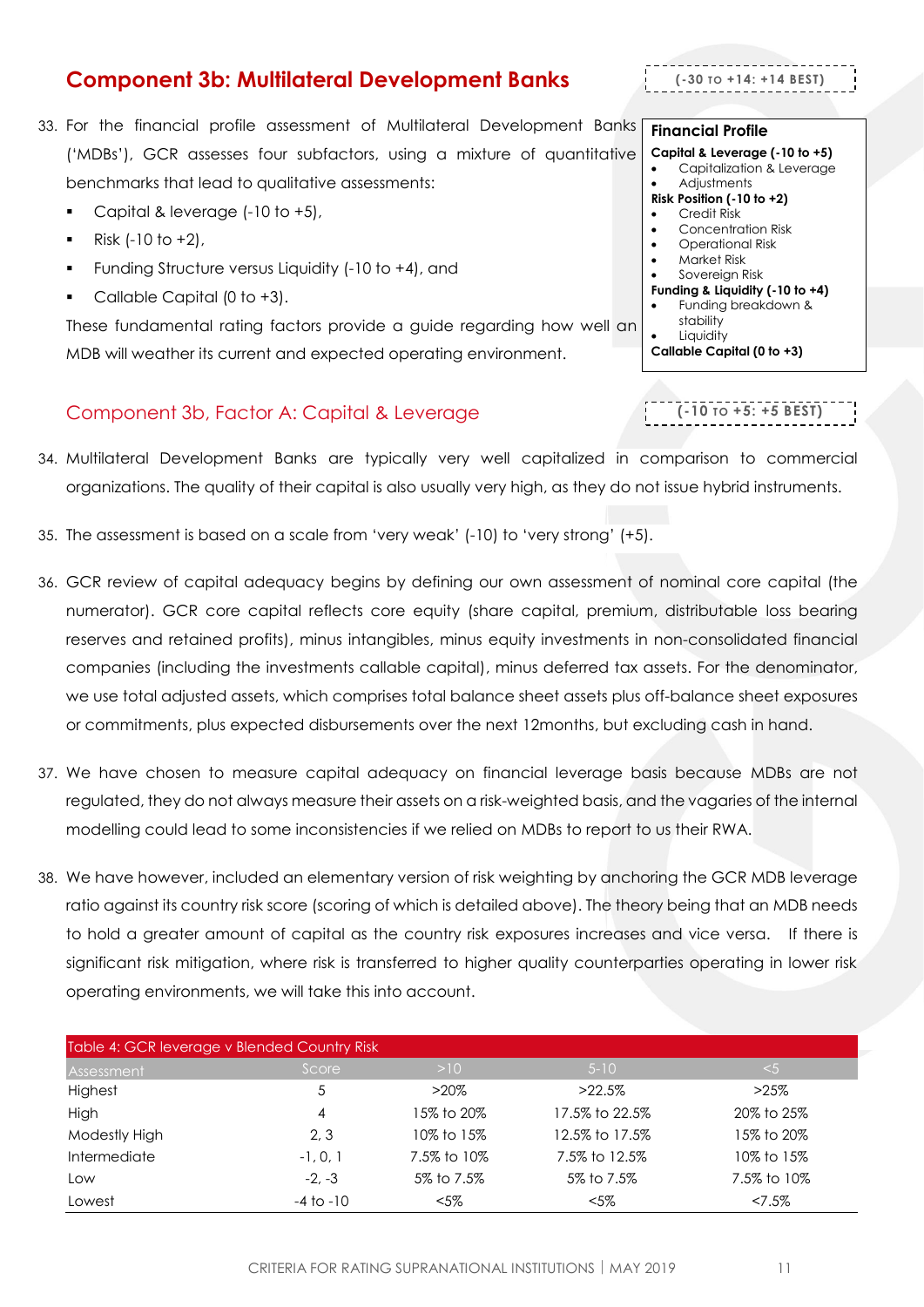## <span id="page-10-0"></span>**Component 3b: Multilateral Development Banks**

#### CRITERIA FOR RATING SUPRANATIONAL INSTITUTIONS | MAY 2019 11

- 33. For the financial profile assessment of Multilateral Development Banks ('MDBs'), GCR assesses four subfactors, using a mixture of quantitative benchmarks that lead to qualitative assessments:
	- Capital & leverage (-10 to +5),
	- $Risk (-10 to +2)$ ,
	- Funding Structure versus Liquidity (-10 to +4), and
	- Callable Capital  $(0$  to  $+3)$ .

These fundamental rating factors provide a guide regarding how well an MDB will weather its current and expected operating environment.

#### <span id="page-10-1"></span>Component 3b, Factor A: Capital & Leverage

- 34. Multilateral Development Banks are typically very well capitalized in comparison to commercial organizations. The quality of their capital is also usually very high, as they do not issue hybrid instruments.
- 35. The assessment is based on a scale from 'very weak' (-10) to 'very strong' (+5).
- 36. GCR review of capital adequacy begins by defining our own assessment of nominal core capital (the numerator). GCR core capital reflects core equity (share capital, premium, distributable loss bearing reserves and retained profits), minus intangibles, minus equity investments in non-consolidated financial companies (including the investments callable capital), minus deferred tax assets. For the denominator, we use total adjusted assets, which comprises total balance sheet assets plus off-balance sheet exposures or commitments, plus expected disbursements over the next 12months, but excluding cash in hand.
- 37. We have chosen to measure capital adequacy on financial leverage basis because MDBs are not regulated, they do not always measure their assets on a risk-weighted basis, and the vagaries of the internal modelling could lead to some inconsistencies if we relied on MDBs to report to us their RWA.
- 38. We have however, included an elementary version of risk weighting by anchoring the GCR MDB leverage ratio against its country risk score (scoring of which is detailed above). The theory being that an MDB needs to hold a greater amount of capital as the country risk exposures increases and vice versa. If there is significant risk mitigation, where risk is transferred to higher quality counterparties operating in lower risk operating environments, we will take this into account.

| Table 4: GCR leverage v Blended Country Risk |               |             |                |             |  |
|----------------------------------------------|---------------|-------------|----------------|-------------|--|
| Assessment                                   | Score         | >10         | $5 - 10$       | $5$         |  |
| Highest                                      | 5             | $>20\%$     | $>22.5\%$      | $>25\%$     |  |
| High                                         | 4             | 15% to 20%  | 17.5% to 22.5% | 20% to 25%  |  |
| Modestly High                                | 2,3           | 10% to 15%  | 12.5% to 17.5% | 15% to 20%  |  |
| Intermediate                                 | $-1, 0, 1$    | 7.5% to 10% | 7.5% to 12.5%  | 10% to 15%  |  |
| Low                                          | $-2. -3$      | 5% to 7.5%  | 5% to 7.5%     | 7.5% to 10% |  |
| Lowest                                       | $-4$ to $-10$ | $<$ 5%      | $< 5\%$        | $27.5\%$    |  |

## **Financial Profile**

**(-30 TO +14: +14 BEST)**

- **Capital & Leverage (-10 to +5)**
	- Capitalization & Leverage
- Adjustments

#### **Risk Position (-10 to +2)** • Credit Risk

- 
- Concentration Risk • Operational Risk
- 
- Market Risk Sovereign Risk
- **Funding & Liquidity (-10 to +4)**
- Funding breakdown & stability
- **Liquidity**
- **Callable Capital (0 to +3)**
- **(-10 TO +5: +5 BEST)**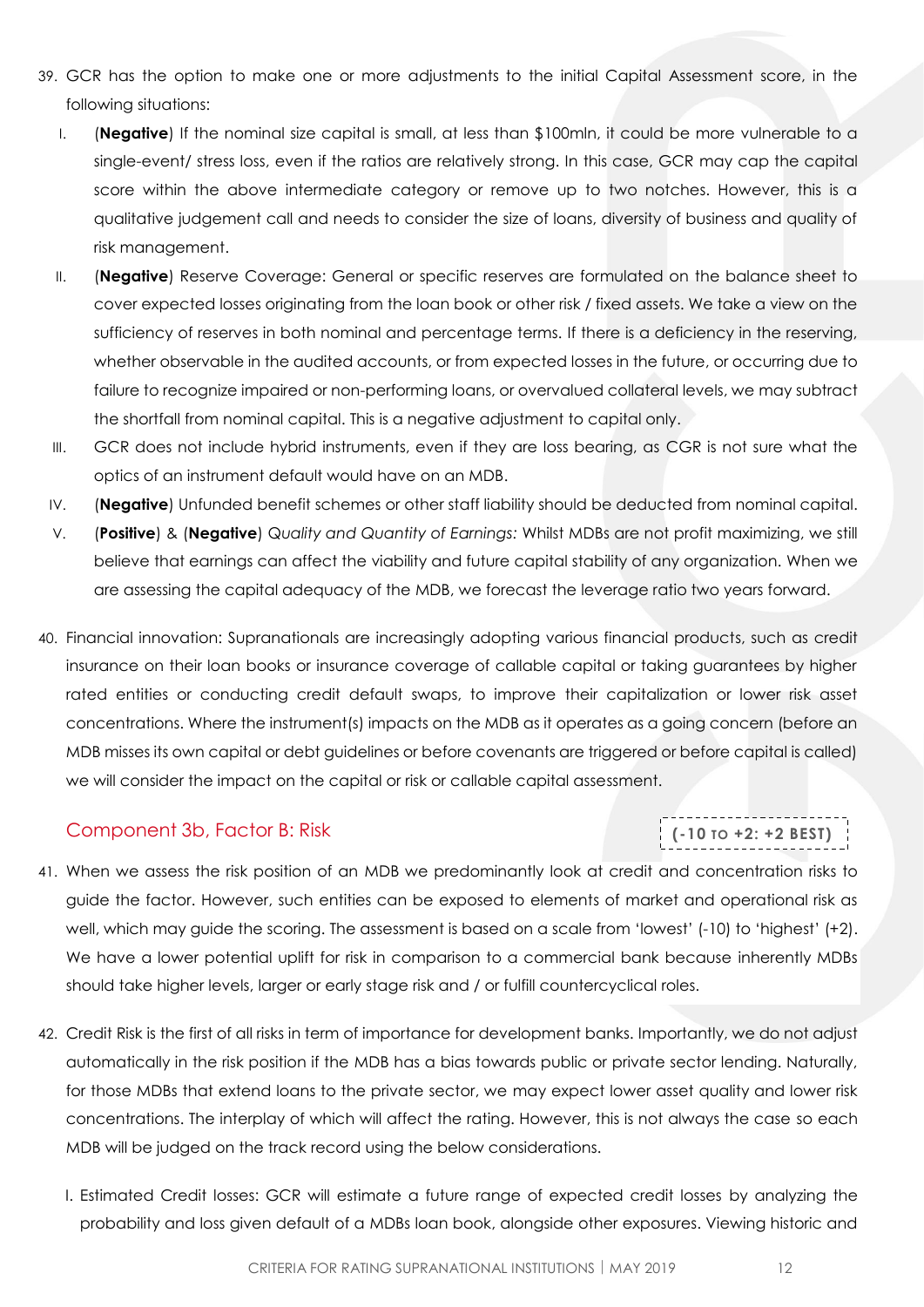- 39. GCR has the option to make one or more adjustments to the initial Capital Assessment score, in the following situations:
	- I. (**Negative**) If the nominal size capital is small, at less than \$100mln, it could be more vulnerable to a single-event/ stress loss, even if the ratios are relatively strong. In this case, GCR may cap the capital score within the above intermediate category or remove up to two notches. However, this is a qualitative judgement call and needs to consider the size of loans, diversity of business and quality of risk management.
	- II. (**Negative**) Reserve Coverage: General or specific reserves are formulated on the balance sheet to cover expected losses originating from the loan book or other risk / fixed assets. We take a view on the sufficiency of reserves in both nominal and percentage terms. If there is a deficiency in the reserving, whether observable in the audited accounts, or from expected losses in the future, or occurring due to failure to recognize impaired or non-performing loans, or overvalued collateral levels, we may subtract the shortfall from nominal capital. This is a negative adjustment to capital only.
	- III. GCR does not include hybrid instruments, even if they are loss bearing, as CGR is not sure what the optics of an instrument default would have on an MDB.
	- IV. (**Negative**) Unfunded benefit schemes or other staff liability should be deducted from nominal capital.
	- V. (**Positive**) & (**Negative**) Q*uality and Quantity of Earnings:* Whilst MDBs are not profit maximizing, we still believe that earnings can affect the viability and future capital stability of any organization. When we are assessing the capital adequacy of the MDB, we forecast the leverage ratio two years forward.
- 40. Financial innovation: Supranationals are increasingly adopting various financial products, such as credit insurance on their loan books or insurance coverage of callable capital or taking guarantees by higher rated entities or conducting credit default swaps, to improve their capitalization or lower risk asset concentrations. Where the instrument(s) impacts on the MDB as it operates as a going concern (before an MDB misses its own capital or debt guidelines or before covenants are triggered or before capital is called) we will consider the impact on the capital or risk or callable capital assessment.

#### <span id="page-11-0"></span>Component 3b, Factor B: Risk

## **(-10 TO +2: +2 BEST)**

- 41. When we assess the risk position of an MDB we predominantly look at credit and concentration risks to guide the factor. However, such entities can be exposed to elements of market and operational risk as well, which may guide the scoring. The assessment is based on a scale from 'lowest' (-10) to 'highest' (+2). We have a lower potential uplift for risk in comparison to a commercial bank because inherently MDBs should take higher levels, larger or early stage risk and / or fulfill countercyclical roles.
- 42. Credit Risk is the first of all risks in term of importance for development banks. Importantly, we do not adjust automatically in the risk position if the MDB has a bias towards public or private sector lending. Naturally, for those MDBs that extend loans to the private sector, we may expect lower asset quality and lower risk concentrations. The interplay of which will affect the rating. However, this is not always the case so each MDB will be judged on the track record using the below considerations.
	- I. Estimated Credit losses: GCR will estimate a future range of expected credit losses by analyzing the probability and loss given default of a MDBs loan book, alongside other exposures. Viewing historic and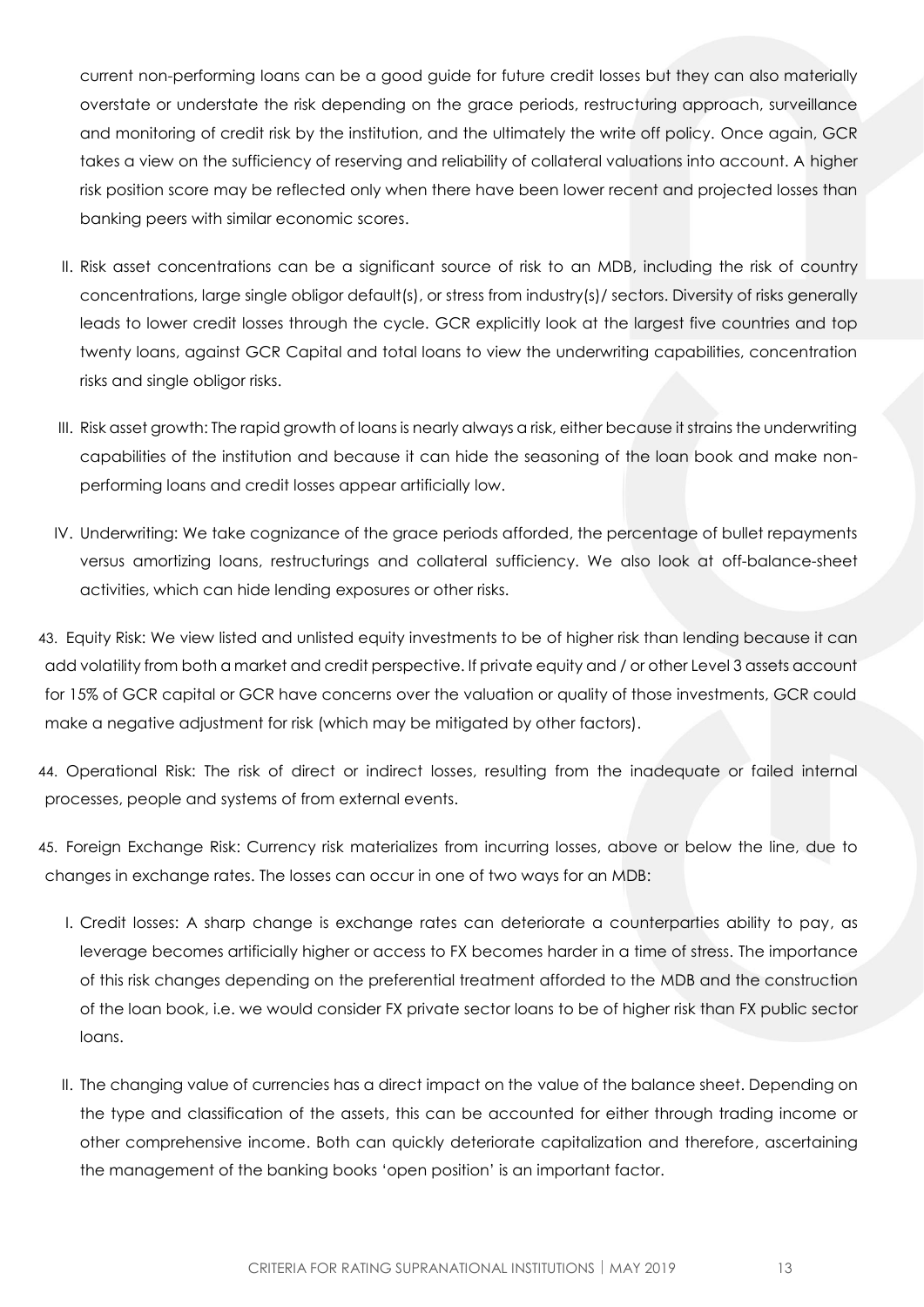current non-performing loans can be a good guide for future credit losses but they can also materially overstate or understate the risk depending on the grace periods, restructuring approach, surveillance and monitoring of credit risk by the institution, and the ultimately the write off policy. Once again, GCR takes a view on the sufficiency of reserving and reliability of collateral valuations into account. A higher risk position score may be reflected only when there have been lower recent and projected losses than banking peers with similar economic scores.

- II. Risk asset concentrations can be a significant source of risk to an MDB, including the risk of country concentrations, large single obligor default(s), or stress from industry(s)/ sectors. Diversity of risks generally leads to lower credit losses through the cycle. GCR explicitly look at the largest five countries and top twenty loans, against GCR Capital and total loans to view the underwriting capabilities, concentration risks and single obligor risks.
- III. Risk asset growth: The rapid growth of loans is nearly always a risk, either because it strains the underwriting capabilities of the institution and because it can hide the seasoning of the loan book and make nonperforming loans and credit losses appear artificially low.
- IV. Underwriting: We take cognizance of the grace periods afforded, the percentage of bullet repayments versus amortizing loans, restructurings and collateral sufficiency. We also look at off-balance-sheet activities, which can hide lending exposures or other risks.

43. Equity Risk: We view listed and unlisted equity investments to be of higher risk than lending because it can add volatility from both a market and credit perspective. If private equity and / or other Level 3 assets account for 15% of GCR capital or GCR have concerns over the valuation or quality of those investments, GCR could make a negative adjustment for risk (which may be mitigated by other factors).

44. Operational Risk: The risk of direct or indirect losses, resulting from the inadequate or failed internal processes, people and systems of from external events.

45. Foreign Exchange Risk: Currency risk materializes from incurring losses, above or below the line, due to changes in exchange rates. The losses can occur in one of two ways for an MDB:

- I. Credit losses: A sharp change is exchange rates can deteriorate a counterparties ability to pay, as leverage becomes artificially higher or access to FX becomes harder in a time of stress. The importance of this risk changes depending on the preferential treatment afforded to the MDB and the construction of the loan book, i.e. we would consider FX private sector loans to be of higher risk than FX public sector loans.
- II. The changing value of currencies has a direct impact on the value of the balance sheet. Depending on the type and classification of the assets, this can be accounted for either through trading income or other comprehensive income. Both can quickly deteriorate capitalization and therefore, ascertaining the management of the banking books 'open position' is an important factor.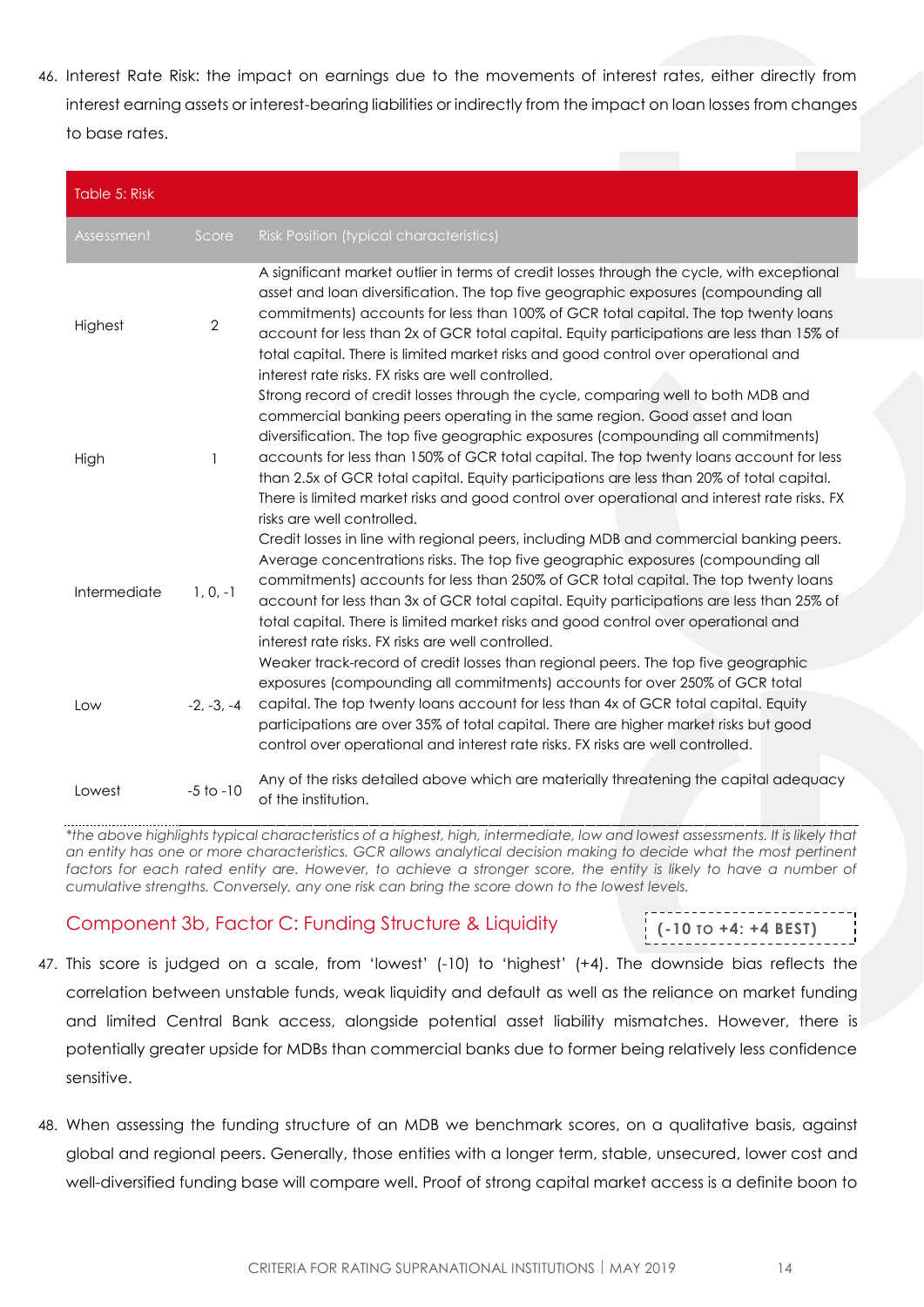46. Interest Rate Risk: the impact on earnings due to the movements of interest rates, either directly from interest earning assets or interest-bearing liabilities or indirectly from the impact on loan losses from changes to base rates.

| Table 5: Risk |                |                                                                                                                                                                                                                                                                                                                                                                                                                                                                                                                                                                         |
|---------------|----------------|-------------------------------------------------------------------------------------------------------------------------------------------------------------------------------------------------------------------------------------------------------------------------------------------------------------------------------------------------------------------------------------------------------------------------------------------------------------------------------------------------------------------------------------------------------------------------|
| Assessment    | Score          | Risk Position (typical characteristics)                                                                                                                                                                                                                                                                                                                                                                                                                                                                                                                                 |
| Highest       | $\overline{2}$ | A significant market outlier in terms of credit losses through the cycle, with exceptional<br>asset and loan diversification. The top five geographic exposures (compounding all<br>commitments) accounts for less than 100% of GCR total capital. The top twenty loans<br>account for less than 2x of GCR total capital. Equity participations are less than 15% of                                                                                                                                                                                                    |
|               |                | total capital. There is limited market risks and good control over operational and<br>interest rate risks. FX risks are well controlled.                                                                                                                                                                                                                                                                                                                                                                                                                                |
| High          | 1              | Strong record of credit losses through the cycle, comparing well to both MDB and<br>commercial banking peers operating in the same region. Good asset and loan<br>diversification. The top five geographic exposures (compounding all commitments)<br>accounts for less than 150% of GCR total capital. The top twenty loans account for less<br>than 2.5x of GCR total capital. Equity participations are less than 20% of total capital.<br>There is limited market risks and good control over operational and interest rate risks. FX<br>risks are well controlled. |
| Intermediate  | $1, 0, -1$     | Credit losses in line with regional peers, including MDB and commercial banking peers.<br>Average concentrations risks. The top five geographic exposures (compounding all<br>commitments) accounts for less than 250% of GCR total capital. The top twenty loans<br>account for less than 3x of GCR total capital. Equity participations are less than 25% of<br>total capital. There is limited market risks and good control over operational and<br>interest rate risks. FX risks are well controlled.                                                              |
| Low           | $-2, -3, -4$   | Weaker track-record of credit losses than regional peers. The top five geographic<br>exposures (compounding all commitments) accounts for over 250% of GCR total<br>capital. The top twenty loans account for less than 4x of GCR total capital. Equity<br>participations are over 35% of total capital. There are higher market risks but good<br>control over operational and interest rate risks. FX risks are well controlled.                                                                                                                                      |
| Lowest        | $-5$ to $-10$  | Any of the risks detailed above which are materially threatening the capital adequacy<br>of the institution.                                                                                                                                                                                                                                                                                                                                                                                                                                                            |

*\*the above highlights typical characteristics of a highest, high, intermediate, low and lowest assessments. It is likely that an entity has one or more characteristics. GCR allows analytical decision making to decide what the most pertinent*  factors for each rated entity are. However, to achieve a stronger score, the entity is likely to have a number of *cumulative strengths. Conversely, any one risk can bring the score down to the lowest levels.* 

### <span id="page-13-0"></span>Component 3b, Factor C: Funding Structure & Liquidity

|  |  |  | $( -10 \text{ to } +4: +4 \text{ BEST})$ |  |
|--|--|--|------------------------------------------|--|

- 47. This score is judged on a scale, from 'lowest' (-10) to 'highest' (+4). The downside bias reflects the correlation between unstable funds, weak liquidity and default as well as the reliance on market funding and limited Central Bank access, alongside potential asset liability mismatches. However, there is potentially greater upside for MDBs than commercial banks due to former being relatively less confidence sensitive.
- 48. When assessing the funding structure of an MDB we benchmark scores, on a qualitative basis, against global and regional peers. Generally, those entities with a longer term, stable, unsecured, lower cost and well-diversified funding base will compare well. Proof of strong capital market access is a definite boon to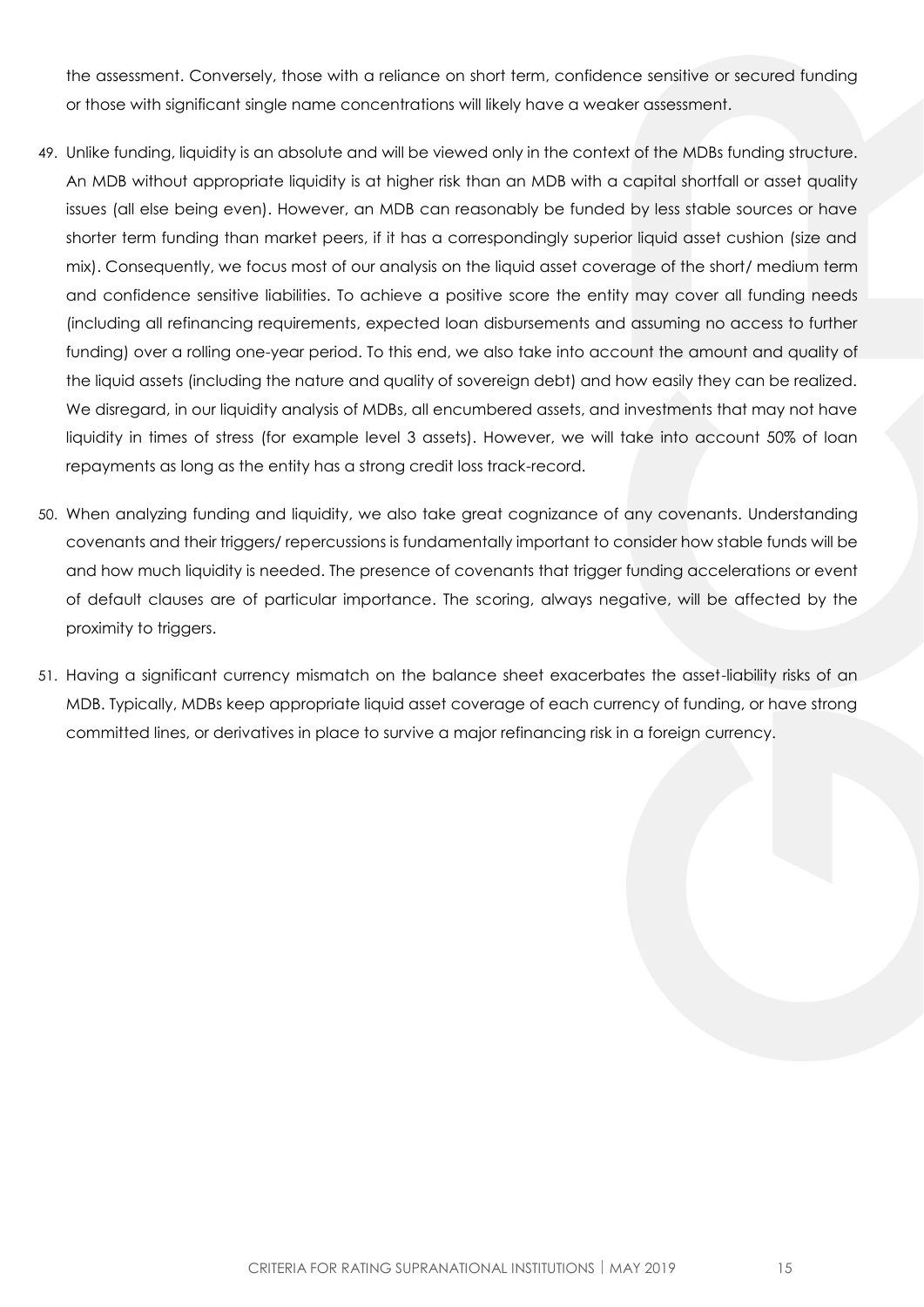the assessment. Conversely, those with a reliance on short term, confidence sensitive or secured funding or those with significant single name concentrations will likely have a weaker assessment.

- 49. Unlike funding, liquidity is an absolute and will be viewed only in the context of the MDBs funding structure. An MDB without appropriate liquidity is at higher risk than an MDB with a capital shortfall or asset quality issues (all else being even). However, an MDB can reasonably be funded by less stable sources or have shorter term funding than market peers, if it has a correspondingly superior liquid asset cushion (size and mix). Consequently, we focus most of our analysis on the liquid asset coverage of the short/ medium term and confidence sensitive liabilities. To achieve a positive score the entity may cover all funding needs (including all refinancing requirements, expected loan disbursements and assuming no access to further funding) over a rolling one-year period. To this end, we also take into account the amount and quality of the liquid assets (including the nature and quality of sovereign debt) and how easily they can be realized. We disregard, in our liquidity analysis of MDBs, all encumbered assets, and investments that may not have liquidity in times of stress (for example level 3 assets). However, we will take into account 50% of loan repayments as long as the entity has a strong credit loss track-record.
- 50. When analyzing funding and liquidity, we also take great cognizance of any covenants. Understanding covenants and their triggers/ repercussions is fundamentally important to consider how stable funds will be and how much liquidity is needed. The presence of covenants that trigger funding accelerations or event of default clauses are of particular importance. The scoring, always negative, will be affected by the proximity to triggers.
- 51. Having a significant currency mismatch on the balance sheet exacerbates the asset-liability risks of an MDB. Typically, MDBs keep appropriate liquid asset coverage of each currency of funding, or have strong committed lines, or derivatives in place to survive a major refinancing risk in a foreign currency.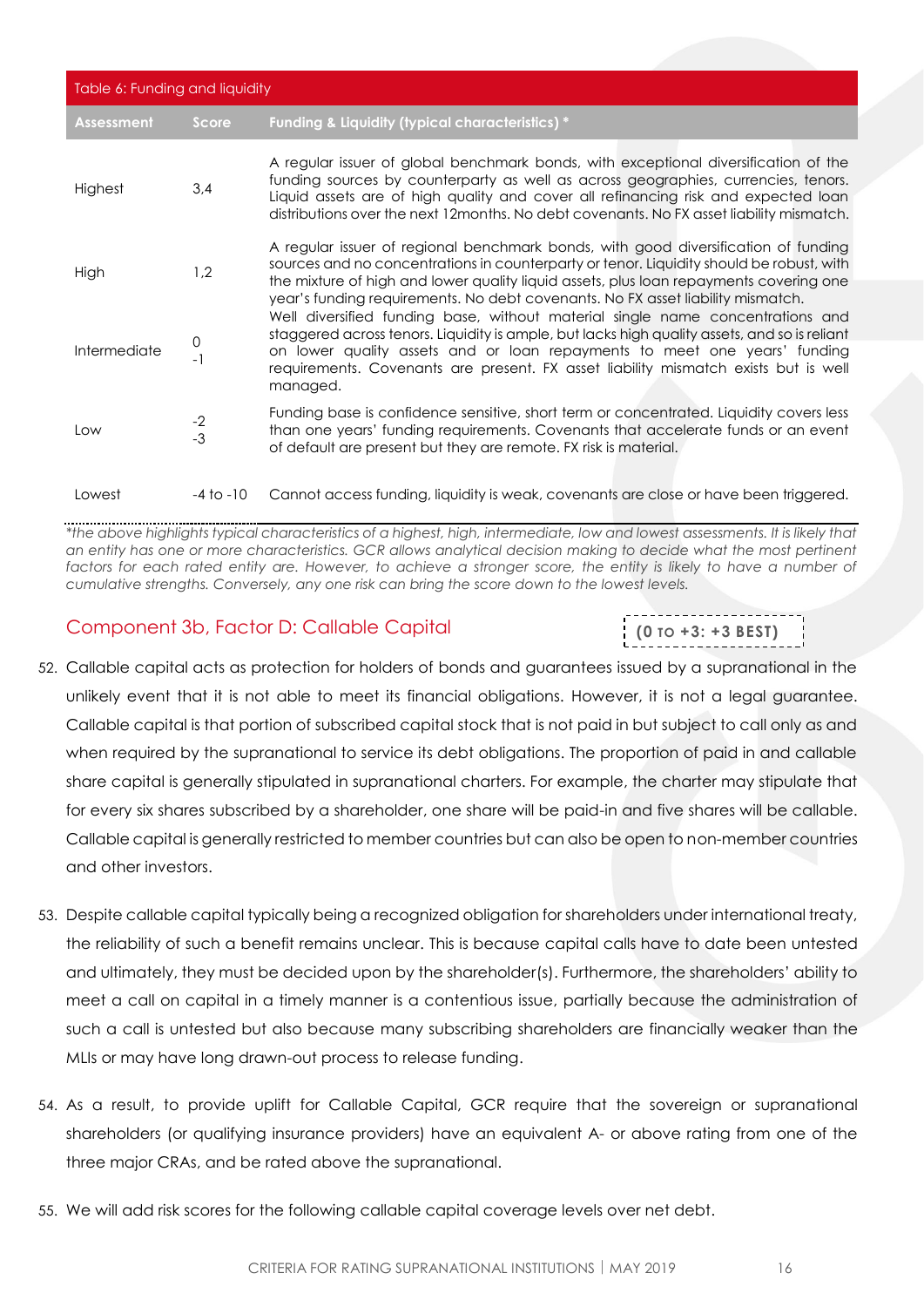| Table 6: Funding and liquidity |               |                                                                                                                                                                                                                                                                                                                                                                 |  |
|--------------------------------|---------------|-----------------------------------------------------------------------------------------------------------------------------------------------------------------------------------------------------------------------------------------------------------------------------------------------------------------------------------------------------------------|--|
| <b>Assessment</b>              | Score         | Funding & Liquidity (typical characteristics) *                                                                                                                                                                                                                                                                                                                 |  |
| Highest                        | 3,4           | A regular issuer of global benchmark bonds, with exceptional diversification of the<br>funding sources by counterparty as well as across geographies, currencies, tenors.<br>Liquid assets are of high quality and cover all refinancing risk and expected loan<br>distributions over the next 12 months. No debt covenants. No FX asset liability mismatch.    |  |
| High                           | 1,2           | A regular issuer of regional benchmark bonds, with good diversification of funding<br>sources and no concentrations in counterparty or tenor. Liquidity should be robust, with<br>the mixture of high and lower quality liquid assets, plus loan repayments covering one<br>year's funding requirements. No debt covenants. No FX asset liability mismatch.     |  |
| Intermediate                   | 0<br>- 1      | Well diversified funding base, without material single name concentrations and<br>staggered across tenors. Liquidity is ample, but lacks high quality assets, and so is reliant<br>on lower quality assets and or loan repayments to meet one years' funding<br>requirements. Covenants are present. FX asset liability mismatch exists but is well<br>managed. |  |
| Low                            | $-2$<br>$-3$  | Funding base is confidence sensitive, short term or concentrated. Liquidity covers less<br>than one years' funding requirements. Covenants that accelerate funds or an event<br>of default are present but they are remote. FX risk is material.                                                                                                                |  |
| Lowest                         | $-4$ to $-10$ | Cannot access funding, liquidity is weak, covenants are close or have been triggered.                                                                                                                                                                                                                                                                           |  |

*\*the above highlights typical characteristics of a highest, high, intermediate, low and lowest assessments. It is likely that an entity has one or more characteristics. GCR allows analytical decision making to decide what the most pertinent*  factors for each rated entity are. However, to achieve a stronger score, the entity is likely to have a number of *cumulative strengths. Conversely, any one risk can bring the score down to the lowest levels.* 

### <span id="page-15-0"></span>Component 3b, Factor D: Callable Capital

52. Callable capital acts as protection for holders of bonds and guarantees issued by a supranational in the unlikely event that it is not able to meet its financial obligations. However, it is not a legal guarantee. Callable capital is that portion of subscribed capital stock that is not paid in but subject to call only as and when required by the supranational to service its debt obligations. The proportion of paid in and callable share capital is generally stipulated in supranational charters. For example, the charter may stipulate that for every six shares subscribed by a shareholder, one share will be paid-in and five shares will be callable. Callable capital is generally restricted to member countries but can also be open to non-member countries and other investors.

- 53. Despite callable capital typically being a recognized obligation for shareholders under international treaty, the reliability of such a benefit remains unclear. This is because capital calls have to date been untested and ultimately, they must be decided upon by the shareholder(s). Furthermore, the shareholders' ability to meet a call on capital in a timely manner is a contentious issue, partially because the administration of such a call is untested but also because many subscribing shareholders are financially weaker than the MLIs or may have long drawn-out process to release funding.
- 54. As a result, to provide uplift for Callable Capital, GCR require that the sovereign or supranational shareholders (or qualifying insurance providers) have an equivalent A- or above rating from one of the three major CRAs, and be rated above the supranational.
- 55. We will add risk scores for the following callable capital coverage levels over net debt.

**(0 TO +3: +3 BEST)**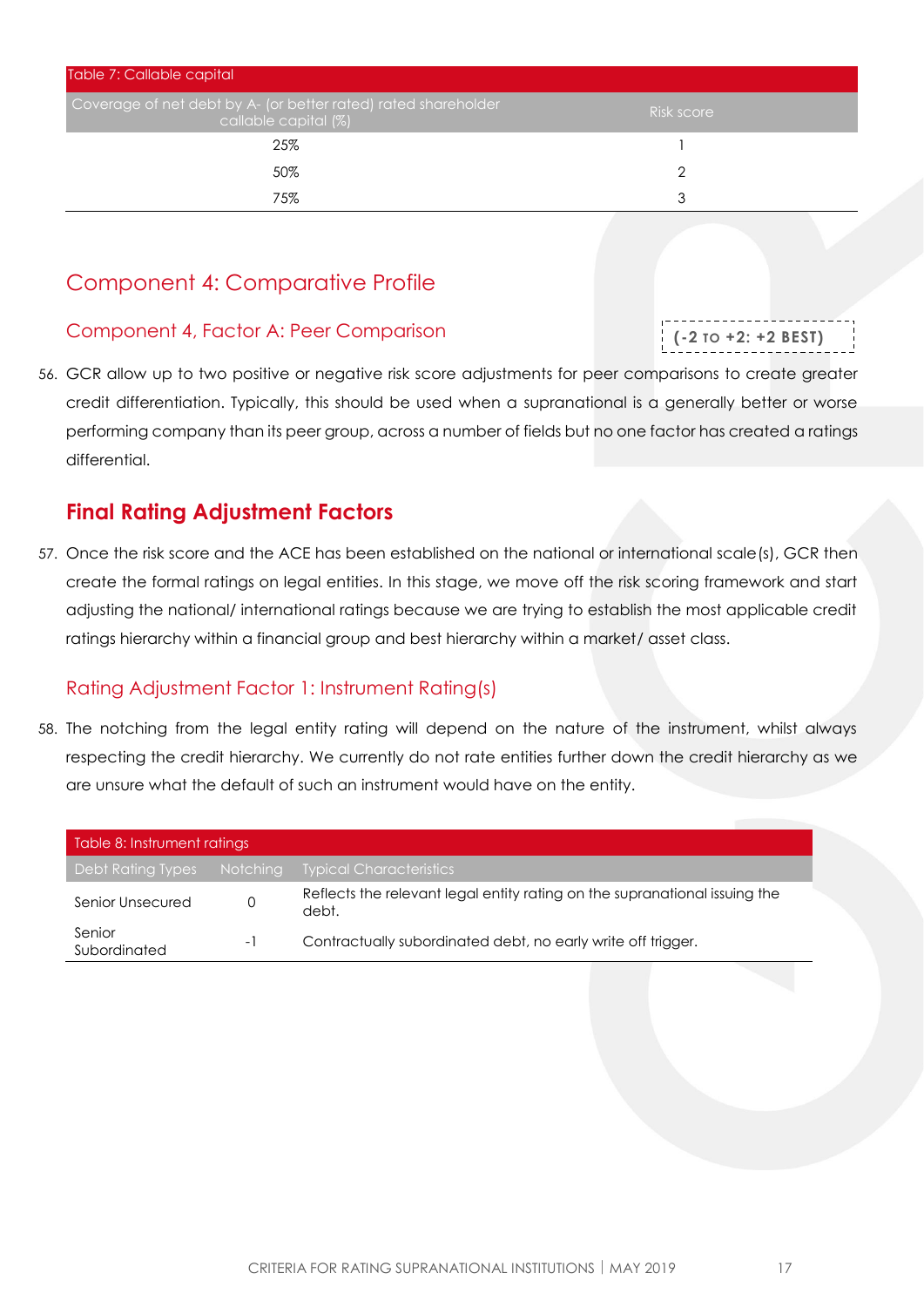| Table 7: Callable capital                                                              |            |  |
|----------------------------------------------------------------------------------------|------------|--|
| Coverage of net debt by A- (or better rated) rated shareholder<br>callable capital (%) | Risk score |  |
| 25%                                                                                    |            |  |
| 50%                                                                                    |            |  |
| 75%                                                                                    | ર          |  |

## <span id="page-16-0"></span>Component 4: Comparative Profile

### <span id="page-16-1"></span>Component 4, Factor A: Peer Comparison

56. GCR allow up to two positive or negative risk score adjustments for peer comparisons to create greater credit differentiation. Typically, this should be used when a supranational is a generally better or worse performing company than its peer group, across a number of fields but no one factor has created a ratings differential.

## <span id="page-16-2"></span>**Final Rating Adjustment Factors**

57. Once the risk score and the ACE has been established on the national or international scale(s), GCR then create the formal ratings on legal entities. In this stage, we move off the risk scoring framework and start adjusting the national/ international ratings because we are trying to establish the most applicable credit ratings hierarchy within a financial group and best hierarchy within a market/ asset class.

## <span id="page-16-3"></span>Rating Adjustment Factor 1: Instrument Rating(s)

58. The notching from the legal entity rating will depend on the nature of the instrument, whilst always respecting the credit hierarchy. We currently do not rate entities further down the credit hierarchy as we are unsure what the default of such an instrument would have on the entity.

| Table 8: Instrument ratings |          |                                                                                     |  |
|-----------------------------|----------|-------------------------------------------------------------------------------------|--|
| Debt Rating Types           | Notching | <b>Typical Characteristics</b>                                                      |  |
| Senior Unsecured            | 0        | Reflects the relevant legal entity rating on the supranational issuing the<br>debt. |  |
| Senior<br>Subordinated      | $-1$     | Contractually subordinated debt, no early write off trigger.                        |  |

**(-2 TO +2: +2 BEST)**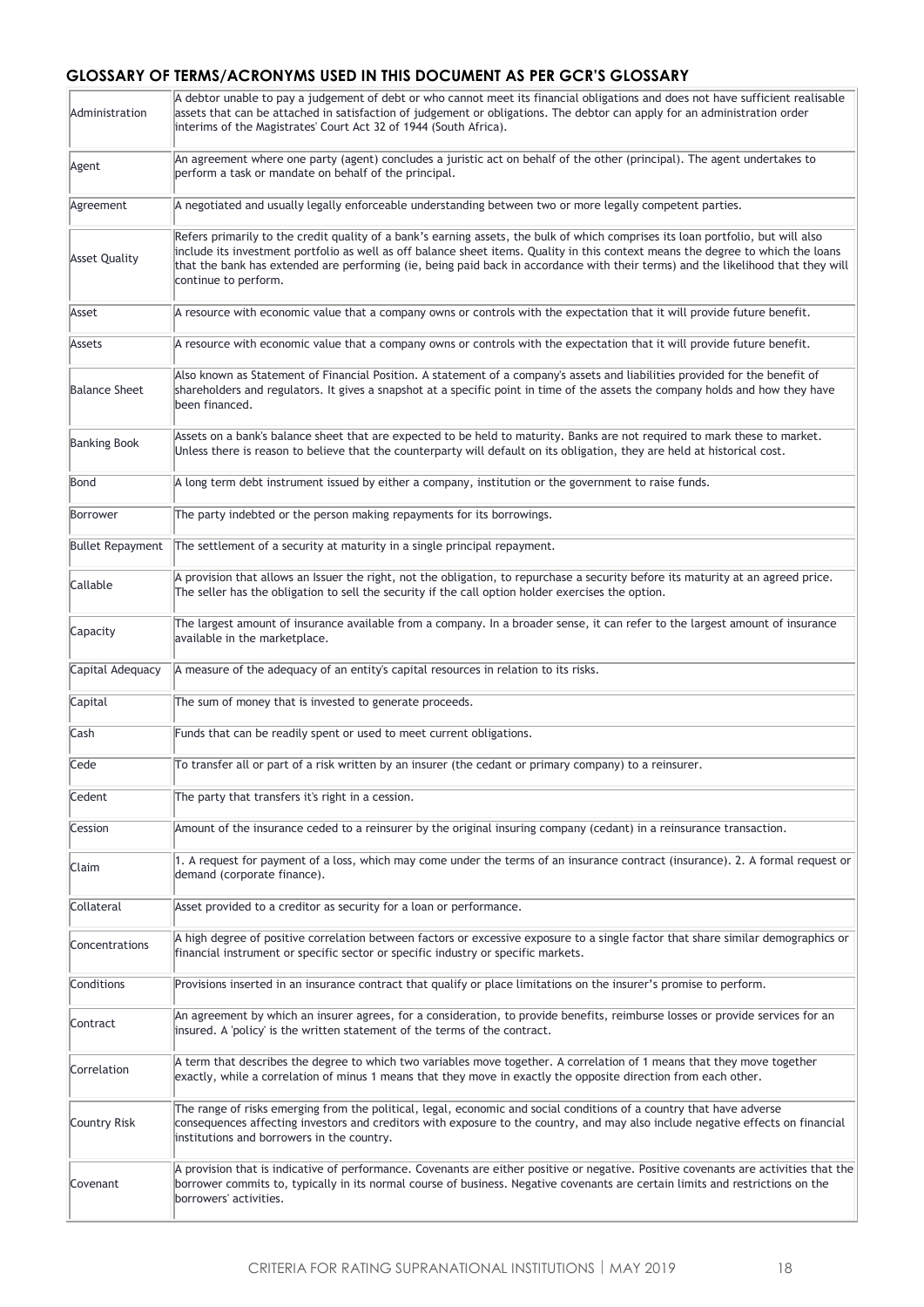#### **GLOSSARY OF TERMS/ACRONYMS USED IN THIS DOCUMENT AS PER GCR'S GLOSSARY**

| Administration          | A debtor unable to pay a judgement of debt or who cannot meet its financial obligations and does not have sufficient realisable<br>assets that can be attached in satisfaction of judgement or obligations. The debtor can apply for an administration order<br>interims of the Magistrates' Court Act 32 of 1944 (South Africa).                                                                                                |
|-------------------------|----------------------------------------------------------------------------------------------------------------------------------------------------------------------------------------------------------------------------------------------------------------------------------------------------------------------------------------------------------------------------------------------------------------------------------|
| Agent                   | An agreement where one party (agent) concludes a juristic act on behalf of the other (principal). The agent undertakes to<br>perform a task or mandate on behalf of the principal.                                                                                                                                                                                                                                               |
| Agreement               | A negotiated and usually legally enforceable understanding between two or more legally competent parties.                                                                                                                                                                                                                                                                                                                        |
| <b>Asset Quality</b>    | Refers primarily to the credit quality of a bank's earning assets, the bulk of which comprises its loan portfolio, but will also<br>include its investment portfolio as well as off balance sheet items. Quality in this context means the degree to which the loans<br>that the bank has extended are performing (ie, being paid back in accordance with their terms) and the likelihood that they will<br>continue to perform. |
| Asset                   | A resource with economic value that a company owns or controls with the expectation that it will provide future benefit.                                                                                                                                                                                                                                                                                                         |
| Assets                  | A resource with economic value that a company owns or controls with the expectation that it will provide future benefit.                                                                                                                                                                                                                                                                                                         |
| <b>Balance Sheet</b>    | Also known as Statement of Financial Position. A statement of a company's assets and liabilities provided for the benefit of<br>shareholders and regulators. It gives a snapshot at a specific point in time of the assets the company holds and how they have<br>been financed.                                                                                                                                                 |
| <b>Banking Book</b>     | Assets on a bank's balance sheet that are expected to be held to maturity. Banks are not required to mark these to market.<br>Unless there is reason to believe that the counterparty will default on its obligation, they are held at historical cost.                                                                                                                                                                          |
| Bond                    | A long term debt instrument issued by either a company, institution or the government to raise funds.                                                                                                                                                                                                                                                                                                                            |
| Borrower                | The party indebted or the person making repayments for its borrowings.                                                                                                                                                                                                                                                                                                                                                           |
| <b>Bullet Repayment</b> | The settlement of a security at maturity in a single principal repayment.                                                                                                                                                                                                                                                                                                                                                        |
| Callable                | A provision that allows an Issuer the right, not the obligation, to repurchase a security before its maturity at an agreed price.<br>The seller has the obligation to sell the security if the call option holder exercises the option.                                                                                                                                                                                          |
| Capacity                | The largest amount of insurance available from a company. In a broader sense, it can refer to the largest amount of insurance<br>available in the marketplace.                                                                                                                                                                                                                                                                   |
| Capital Adequacy        | A measure of the adequacy of an entity's capital resources in relation to its risks.                                                                                                                                                                                                                                                                                                                                             |
| Capital                 | The sum of money that is invested to generate proceeds.                                                                                                                                                                                                                                                                                                                                                                          |
| Cash                    | Funds that can be readily spent or used to meet current obligations.                                                                                                                                                                                                                                                                                                                                                             |
| Cede                    | To transfer all or part of a risk written by an insurer (the cedant or primary company) to a reinsurer.                                                                                                                                                                                                                                                                                                                          |
| Cedent                  | The party that transfers it's right in a cession.                                                                                                                                                                                                                                                                                                                                                                                |
| Cession                 | Amount of the insurance ceded to a reinsurer by the original insuring company (cedant) in a reinsurance transaction.                                                                                                                                                                                                                                                                                                             |
| Claim                   | 1. A request for payment of a loss, which may come under the terms of an insurance contract (insurance). 2. A formal request or<br>demand (corporate finance).                                                                                                                                                                                                                                                                   |
| Collateral              | Asset provided to a creditor as security for a loan or performance.                                                                                                                                                                                                                                                                                                                                                              |
| Concentrations          | A high degree of positive correlation between factors or excessive exposure to a single factor that share similar demographics or<br>financial instrument or specific sector or specific industry or specific markets.                                                                                                                                                                                                           |
| Conditions              | Provisions inserted in an insurance contract that qualify or place limitations on the insurer's promise to perform.                                                                                                                                                                                                                                                                                                              |
| Contract                | An agreement by which an insurer agrees, for a consideration, to provide benefits, reimburse losses or provide services for an<br>insured. A 'policy' is the written statement of the terms of the contract.                                                                                                                                                                                                                     |
| Correlation             | A term that describes the degree to which two variables move together. A correlation of 1 means that they move together<br>exactly, while a correlation of minus 1 means that they move in exactly the opposite direction from each other.                                                                                                                                                                                       |
| Country Risk            | The range of risks emerging from the political, legal, economic and social conditions of a country that have adverse<br>consequences affecting investors and creditors with exposure to the country, and may also include negative effects on financial<br>institutions and borrowers in the country.                                                                                                                            |
| Covenant                | A provision that is indicative of performance. Covenants are either positive or negative. Positive covenants are activities that the<br>borrower commits to, typically in its normal course of business. Negative covenants are certain limits and restrictions on the<br>borrowers' activities.                                                                                                                                 |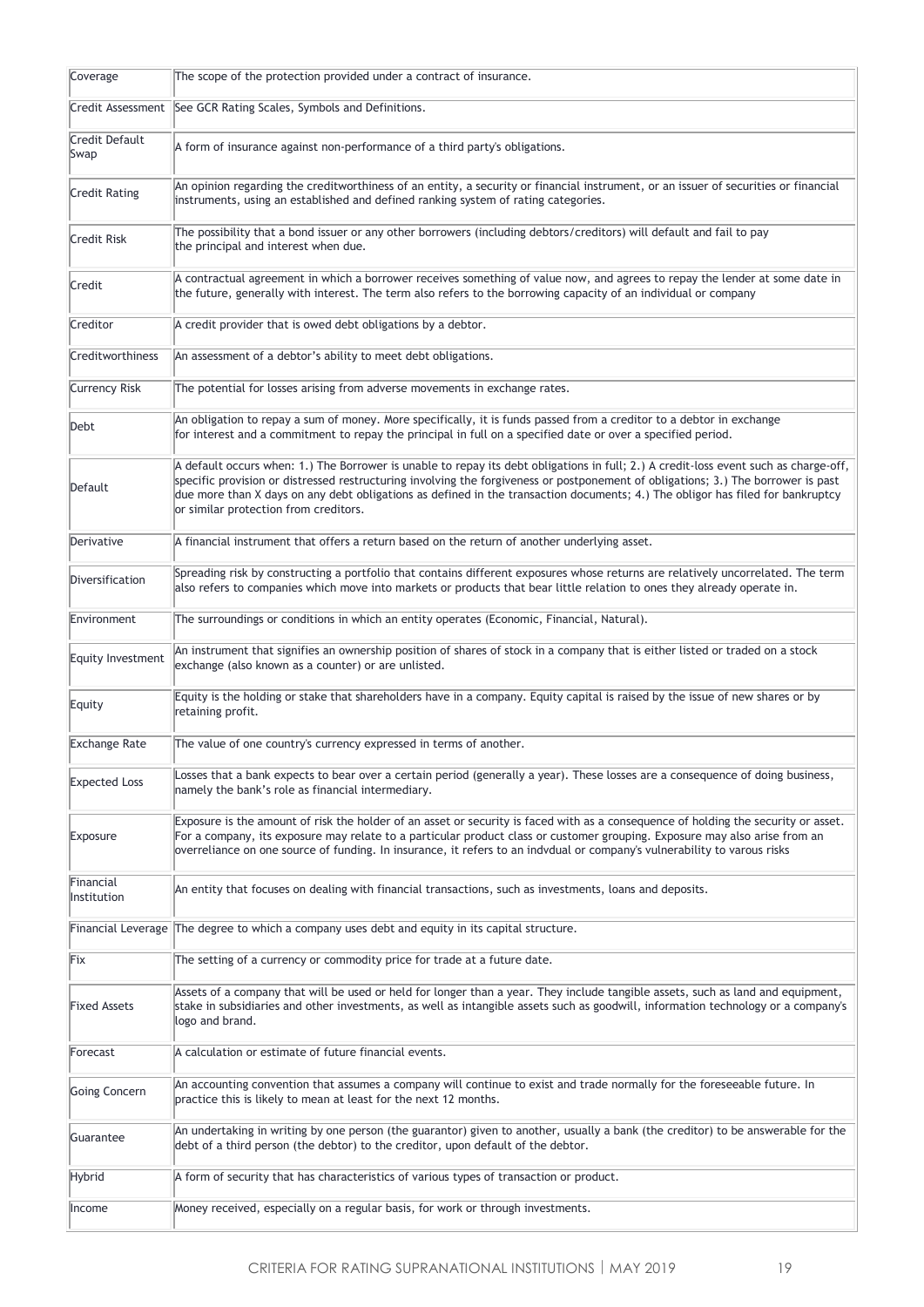| Coverage                  | The scope of the protection provided under a contract of insurance.                                                                                                                                                                                                                                                                                                                                                                                  |
|---------------------------|------------------------------------------------------------------------------------------------------------------------------------------------------------------------------------------------------------------------------------------------------------------------------------------------------------------------------------------------------------------------------------------------------------------------------------------------------|
|                           | Credit Assessment   See GCR Rating Scales, Symbols and Definitions.                                                                                                                                                                                                                                                                                                                                                                                  |
| Credit Default<br>Swap    | A form of insurance against non-performance of a third party's obligations.                                                                                                                                                                                                                                                                                                                                                                          |
| <b>Credit Rating</b>      | An opinion regarding the creditworthiness of an entity, a security or financial instrument, or an issuer of securities or financial<br>instruments, using an established and defined ranking system of rating categories.                                                                                                                                                                                                                            |
| Credit Risk               | The possibility that a bond issuer or any other borrowers (including debtors/creditors) will default and fail to pay<br>the principal and interest when due.                                                                                                                                                                                                                                                                                         |
| Credit                    | A contractual agreement in which a borrower receives something of value now, and agrees to repay the lender at some date in<br>the future, generally with interest. The term also refers to the borrowing capacity of an individual or company                                                                                                                                                                                                       |
| Creditor                  | A credit provider that is owed debt obligations by a debtor.                                                                                                                                                                                                                                                                                                                                                                                         |
| Creditworthiness          | An assessment of a debtor's ability to meet debt obligations.                                                                                                                                                                                                                                                                                                                                                                                        |
| <b>Currency Risk</b>      | The potential for losses arising from adverse movements in exchange rates.                                                                                                                                                                                                                                                                                                                                                                           |
| Debt                      | An obligation to repay a sum of money. More specifically, it is funds passed from a creditor to a debtor in exchange<br>for interest and a commitment to repay the principal in full on a specified date or over a specified period.                                                                                                                                                                                                                 |
| Default                   | A default occurs when: 1.) The Borrower is unable to repay its debt obligations in full; 2.) A credit-loss event such as charge-off,<br>specific provision or distressed restructuring involving the forgiveness or postponement of obligations; 3.) The borrower is past<br>due more than X days on any debt obligations as defined in the transaction documents; 4.) The obligor has filed for bankruptcy<br>or similar protection from creditors. |
| Derivative                | A financial instrument that offers a return based on the return of another underlying asset.                                                                                                                                                                                                                                                                                                                                                         |
| Diversification           | Spreading risk by constructing a portfolio that contains different exposures whose returns are relatively uncorrelated. The term<br>also refers to companies which move into markets or products that bear little relation to ones they already operate in.                                                                                                                                                                                          |
| Environment               | The surroundings or conditions in which an entity operates (Economic, Financial, Natural).                                                                                                                                                                                                                                                                                                                                                           |
| Equity Investment         | An instrument that signifies an ownership position of shares of stock in a company that is either listed or traded on a stock<br>exchange (also known as a counter) or are unlisted.                                                                                                                                                                                                                                                                 |
| Equity                    | Equity is the holding or stake that shareholders have in a company. Equity capital is raised by the issue of new shares or by<br>retaining profit.                                                                                                                                                                                                                                                                                                   |
| <b>Exchange Rate</b>      | The value of one country's currency expressed in terms of another.                                                                                                                                                                                                                                                                                                                                                                                   |
| <b>Expected Loss</b>      | Losses that a bank expects to bear over a certain period (generally a year). These losses are a consequence of doing business,<br>namely the bank's role as financial intermediary.                                                                                                                                                                                                                                                                  |
| Exposure                  | Exposure is the amount of risk the holder of an asset or security is faced with as a consequence of holding the security or asset.<br>For a company, its exposure may relate to a particular product class or customer grouping. Exposure may also arise from an<br>overreliance on one source of funding. In insurance, it refers to an indvdual or company's vulnerability to varous risks                                                         |
| Financial<br>Institution  | An entity that focuses on dealing with financial transactions, such as investments, loans and deposits.                                                                                                                                                                                                                                                                                                                                              |
| <b>Financial Leverage</b> | The degree to which a company uses debt and equity in its capital structure.                                                                                                                                                                                                                                                                                                                                                                         |
| Fix                       | The setting of a currency or commodity price for trade at a future date.                                                                                                                                                                                                                                                                                                                                                                             |
| <b>Fixed Assets</b>       | Assets of a company that will be used or held for longer than a year. They include tangible assets, such as land and equipment,<br>stake in subsidiaries and other investments, as well as intangible assets such as goodwill, information technology or a company's<br>logo and brand.                                                                                                                                                              |
| Forecast                  | A calculation or estimate of future financial events.                                                                                                                                                                                                                                                                                                                                                                                                |
| Going Concern             | An accounting convention that assumes a company will continue to exist and trade normally for the foreseeable future. In<br>practice this is likely to mean at least for the next 12 months.                                                                                                                                                                                                                                                         |
| Guarantee                 | An undertaking in writing by one person (the guarantor) given to another, usually a bank (the creditor) to be answerable for the<br>debt of a third person (the debtor) to the creditor, upon default of the debtor.                                                                                                                                                                                                                                 |
| Hybrid                    | A form of security that has characteristics of various types of transaction or product.                                                                                                                                                                                                                                                                                                                                                              |
| Income                    | Money received, especially on a regular basis, for work or through investments.                                                                                                                                                                                                                                                                                                                                                                      |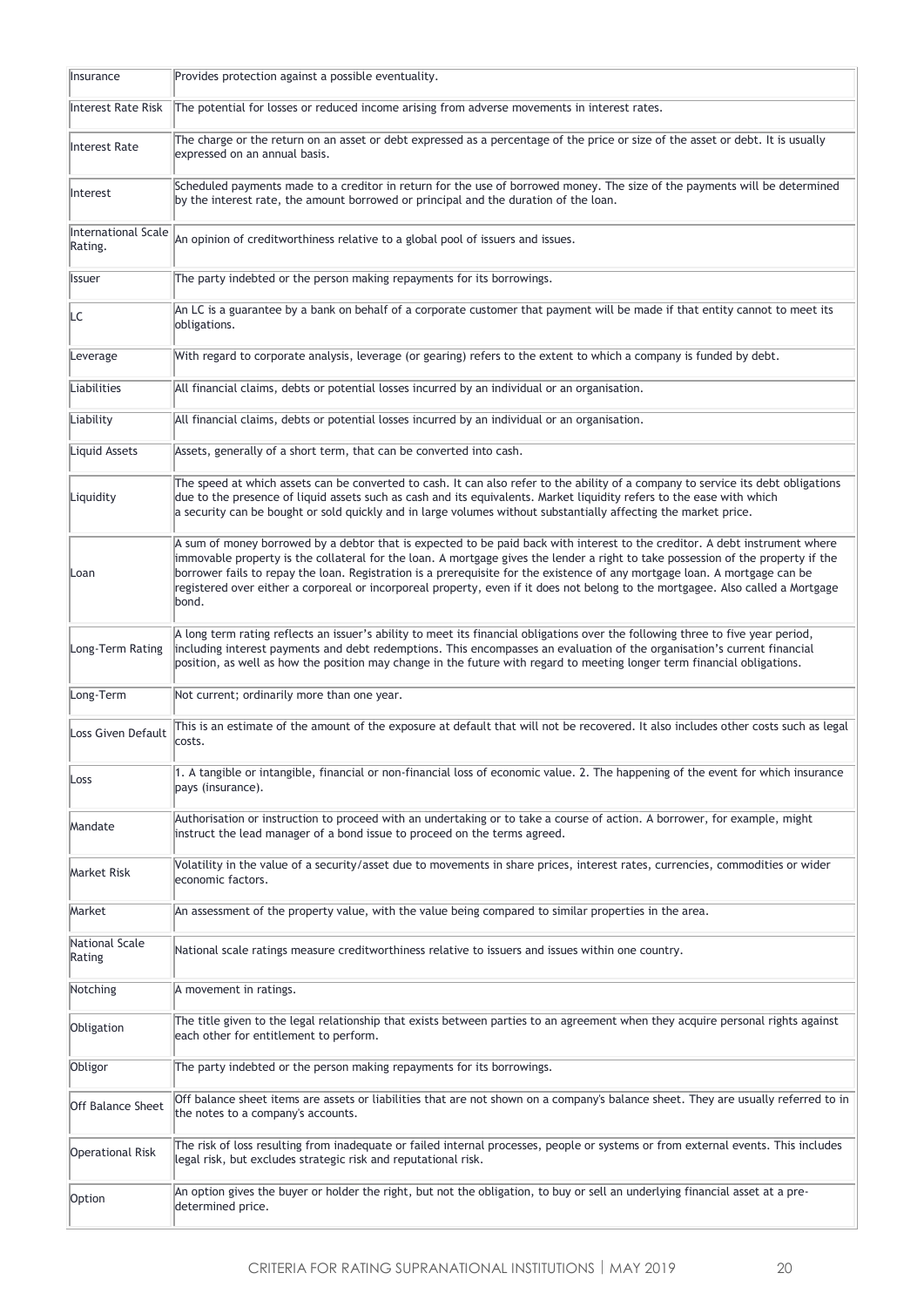| Insurance                      | Provides protection against a possible eventuality.                                                                                                                                                                                                                                                                                                                                                                                                                                                                                       |
|--------------------------------|-------------------------------------------------------------------------------------------------------------------------------------------------------------------------------------------------------------------------------------------------------------------------------------------------------------------------------------------------------------------------------------------------------------------------------------------------------------------------------------------------------------------------------------------|
| Interest Rate Risk             | The potential for losses or reduced income arising from adverse movements in interest rates.                                                                                                                                                                                                                                                                                                                                                                                                                                              |
| Interest Rate                  | The charge or the return on an asset or debt expressed as a percentage of the price or size of the asset or debt. It is usually<br>expressed on an annual basis.                                                                                                                                                                                                                                                                                                                                                                          |
| Interest                       | Scheduled payments made to a creditor in return for the use of borrowed money. The size of the payments will be determined<br>by the interest rate, the amount borrowed or principal and the duration of the loan.                                                                                                                                                                                                                                                                                                                        |
| International Scale<br>Rating. | An opinion of creditworthiness relative to a global pool of issuers and issues.                                                                                                                                                                                                                                                                                                                                                                                                                                                           |
| <b>Issuer</b>                  | The party indebted or the person making repayments for its borrowings.                                                                                                                                                                                                                                                                                                                                                                                                                                                                    |
| LC                             | An LC is a guarantee by a bank on behalf of a corporate customer that payment will be made if that entity cannot to meet its<br>obligations.                                                                                                                                                                                                                                                                                                                                                                                              |
| Leverage                       | With regard to corporate analysis, leverage (or gearing) refers to the extent to which a company is funded by debt.                                                                                                                                                                                                                                                                                                                                                                                                                       |
| Liabilities                    | All financial claims, debts or potential losses incurred by an individual or an organisation.                                                                                                                                                                                                                                                                                                                                                                                                                                             |
| Liability                      | All financial claims, debts or potential losses incurred by an individual or an organisation.                                                                                                                                                                                                                                                                                                                                                                                                                                             |
| Liquid Assets                  | Assets, generally of a short term, that can be converted into cash.                                                                                                                                                                                                                                                                                                                                                                                                                                                                       |
| Liquidity                      | The speed at which assets can be converted to cash. It can also refer to the ability of a company to service its debt obligations<br>due to the presence of liquid assets such as cash and its equivalents. Market liquidity refers to the ease with which<br>a security can be bought or sold quickly and in large volumes without substantially affecting the market price.                                                                                                                                                             |
| Loan                           | A sum of money borrowed by a debtor that is expected to be paid back with interest to the creditor. A debt instrument where<br>immovable property is the collateral for the loan. A mortgage gives the lender a right to take possession of the property if the<br>borrower fails to repay the loan. Registration is a prerequisite for the existence of any mortgage loan. A mortgage can be<br>registered over either a corporeal or incorporeal property, even if it does not belong to the mortgagee. Also called a Mortgage<br>bond. |
| Long-Term Rating               | A long term rating reflects an issuer's ability to meet its financial obligations over the following three to five year period,<br>including interest payments and debt redemptions. This encompasses an evaluation of the organisation's current financial<br>position, as well as how the position may change in the future with regard to meeting longer term financial obligations.                                                                                                                                                   |
| Long-Term                      | Not current; ordinarily more than one year.                                                                                                                                                                                                                                                                                                                                                                                                                                                                                               |
| Loss Given Default             | This is an estimate of the amount of the exposure at default that will not be recovered. It also includes other costs such as legal<br>costs.                                                                                                                                                                                                                                                                                                                                                                                             |
| Loss                           | 1. A tangible or intangible, financial or non-financial loss of economic value. 2. The happening of the event for which insurance<br>pays (insurance).                                                                                                                                                                                                                                                                                                                                                                                    |
| Mandate                        | Authorisation or instruction to proceed with an undertaking or to take a course of action. A borrower, for example, might<br>instruct the lead manager of a bond issue to proceed on the terms agreed.                                                                                                                                                                                                                                                                                                                                    |
| <b>Market Risk</b>             | Volatility in the value of a security/asset due to movements in share prices, interest rates, currencies, commodities or wider<br>economic factors.                                                                                                                                                                                                                                                                                                                                                                                       |
| Market                         | An assessment of the property value, with the value being compared to similar properties in the area.                                                                                                                                                                                                                                                                                                                                                                                                                                     |
| National Scale<br>Rating       | National scale ratings measure creditworthiness relative to issuers and issues within one country.                                                                                                                                                                                                                                                                                                                                                                                                                                        |
| Notching                       | A movement in ratings.                                                                                                                                                                                                                                                                                                                                                                                                                                                                                                                    |
| Obligation                     | The title given to the legal relationship that exists between parties to an agreement when they acquire personal rights against<br>each other for entitlement to perform.                                                                                                                                                                                                                                                                                                                                                                 |
| Obligor                        | The party indebted or the person making repayments for its borrowings.                                                                                                                                                                                                                                                                                                                                                                                                                                                                    |
| <b>Off Balance Sheet</b>       | Off balance sheet items are assets or liabilities that are not shown on a company's balance sheet. They are usually referred to in<br>the notes to a company's accounts.                                                                                                                                                                                                                                                                                                                                                                  |
| <b>Operational Risk</b>        | The risk of loss resulting from inadequate or failed internal processes, people or systems or from external events. This includes<br>legal risk, but excludes strategic risk and reputational risk.                                                                                                                                                                                                                                                                                                                                       |
| Option                         | An option gives the buyer or holder the right, but not the obligation, to buy or sell an underlying financial asset at a pre-<br>determined price.                                                                                                                                                                                                                                                                                                                                                                                        |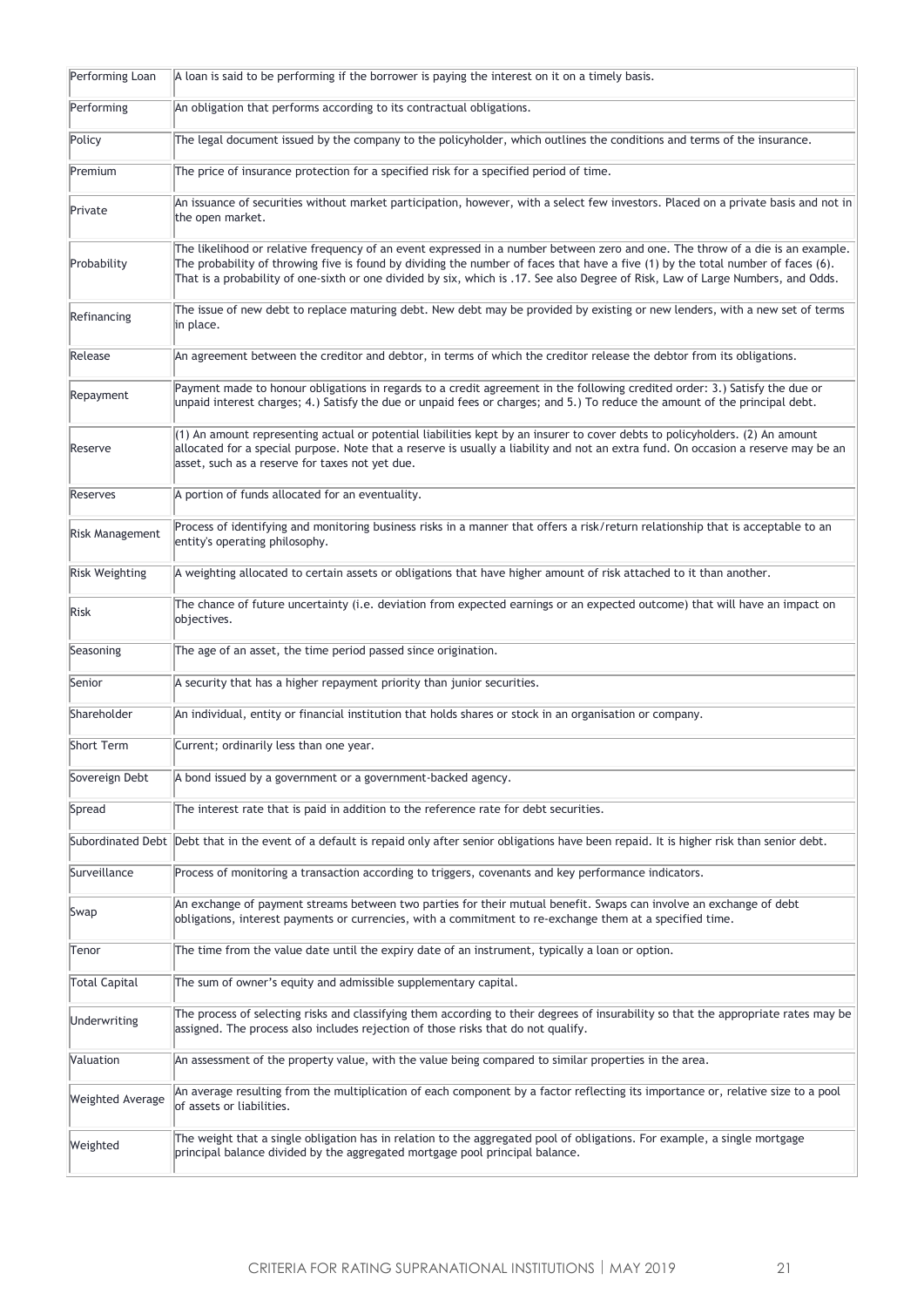| Performing Loan         | A loan is said to be performing if the borrower is paying the interest on it on a timely basis.                                                                                                                                                                                                                                                                                                        |
|-------------------------|--------------------------------------------------------------------------------------------------------------------------------------------------------------------------------------------------------------------------------------------------------------------------------------------------------------------------------------------------------------------------------------------------------|
| Performing              | An obligation that performs according to its contractual obligations.                                                                                                                                                                                                                                                                                                                                  |
| Policy                  | The legal document issued by the company to the policyholder, which outlines the conditions and terms of the insurance.                                                                                                                                                                                                                                                                                |
| Premium                 | The price of insurance protection for a specified risk for a specified period of time.                                                                                                                                                                                                                                                                                                                 |
| Private                 | An issuance of securities without market participation, however, with a select few investors. Placed on a private basis and not in<br>the open market.                                                                                                                                                                                                                                                 |
| Probability             | The likelihood or relative frequency of an event expressed in a number between zero and one. The throw of a die is an example.<br>The probability of throwing five is found by dividing the number of faces that have a five (1) by the total number of faces (6).<br>That is a probability of one-sixth or one divided by six, which is .17. See also Degree of Risk, Law of Large Numbers, and Odds. |
| Refinancing             | The issue of new debt to replace maturing debt. New debt may be provided by existing or new lenders, with a new set of terms<br>in place.                                                                                                                                                                                                                                                              |
| Release                 | An agreement between the creditor and debtor, in terms of which the creditor release the debtor from its obligations.                                                                                                                                                                                                                                                                                  |
| Repayment               | Payment made to honour obligations in regards to a credit agreement in the following credited order: 3.) Satisfy the due or<br>unpaid interest charges; 4.) Satisfy the due or unpaid fees or charges; and 5.) To reduce the amount of the principal debt.                                                                                                                                             |
| Reserve                 | $(1)$ An amount representing actual or potential liabilities kept by an insurer to cover debts to policyholders. (2) An amount<br>allocated for a special purpose. Note that a reserve is usually a liability and not an extra fund. On occasion a reserve may be an<br>asset, such as a reserve for taxes not yet due.                                                                                |
| Reserves                | A portion of funds allocated for an eventuality.                                                                                                                                                                                                                                                                                                                                                       |
| Risk Management         | Process of identifying and monitoring business risks in a manner that offers a risk/return relationship that is acceptable to an<br>entity's operating philosophy.                                                                                                                                                                                                                                     |
| <b>Risk Weighting</b>   | A weighting allocated to certain assets or obligations that have higher amount of risk attached to it than another.                                                                                                                                                                                                                                                                                    |
| <b>Risk</b>             | The chance of future uncertainty (i.e. deviation from expected earnings or an expected outcome) that will have an impact on<br>objectives.                                                                                                                                                                                                                                                             |
| Seasoning               | The age of an asset, the time period passed since origination.                                                                                                                                                                                                                                                                                                                                         |
| Senior                  | A security that has a higher repayment priority than junior securities.                                                                                                                                                                                                                                                                                                                                |
| Shareholder             | An individual, entity or financial institution that holds shares or stock in an organisation or company.                                                                                                                                                                                                                                                                                               |
| Short Term              | Current; ordinarily less than one year.                                                                                                                                                                                                                                                                                                                                                                |
| Sovereign Debt          | A bond issued by a government or a government-backed agency.                                                                                                                                                                                                                                                                                                                                           |
| Spread                  | The interest rate that is paid in addition to the reference rate for debt securities.                                                                                                                                                                                                                                                                                                                  |
|                         | Subordinated Debt Debt that in the event of a default is repaid only after senior obligations have been repaid. It is higher risk than senior debt.                                                                                                                                                                                                                                                    |
| Surveillance            | Process of monitoring a transaction according to triggers, covenants and key performance indicators.                                                                                                                                                                                                                                                                                                   |
| Swap                    | An exchange of payment streams between two parties for their mutual benefit. Swaps can involve an exchange of debt<br>obligations, interest payments or currencies, with a commitment to re-exchange them at a specified time.                                                                                                                                                                         |
| Tenor                   | The time from the value date until the expiry date of an instrument, typically a loan or option.                                                                                                                                                                                                                                                                                                       |
| <b>Total Capital</b>    | The sum of owner's equity and admissible supplementary capital.                                                                                                                                                                                                                                                                                                                                        |
| <b>Underwriting</b>     | The process of selecting risks and classifying them according to their degrees of insurability so that the appropriate rates may be<br>assigned. The process also includes rejection of those risks that do not qualify.                                                                                                                                                                               |
| Valuation               | An assessment of the property value, with the value being compared to similar properties in the area.                                                                                                                                                                                                                                                                                                  |
| <b>Weighted Average</b> | An average resulting from the multiplication of each component by a factor reflecting its importance or, relative size to a pool<br>of assets or liabilities.                                                                                                                                                                                                                                          |
| Weighted                | The weight that a single obligation has in relation to the aggregated pool of obligations. For example, a single mortgage<br>principal balance divided by the aggregated mortgage pool principal balance.                                                                                                                                                                                              |